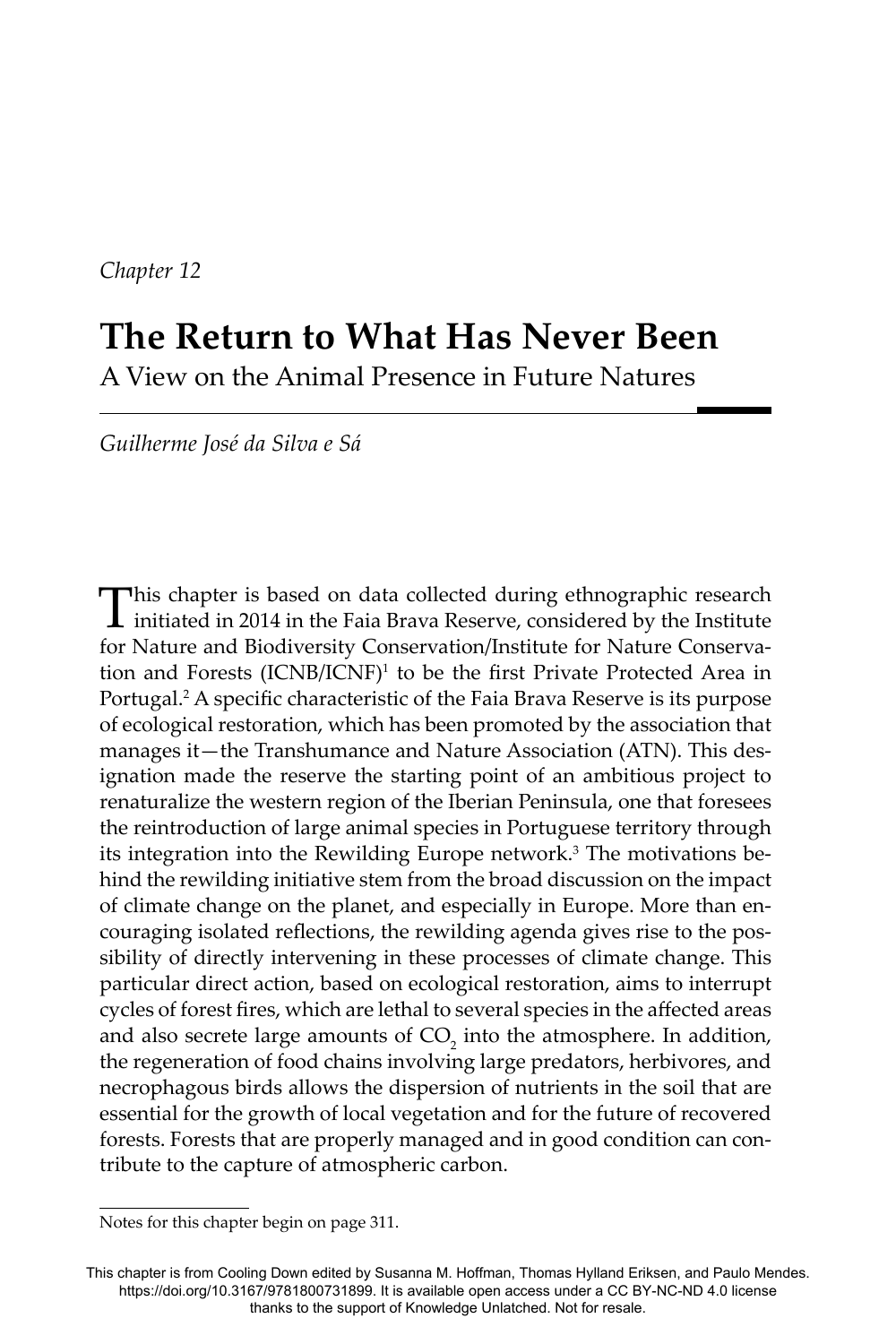*Chapter 12*

# **The Return to What Has Never Been** A View on the Animal Presence in Future Natures

 *Guilherme José da Silva e Sá*

This chapter is based on data collected during ethnographic research initiated in 2014 in the Faia Brava Reserve, considered by the Institute for Nature and Biodiversity Conservation/Institute for Nature Conservation and Forests (ICNB/ICNF)<sup>1</sup> to be the first Private Protected Area in Portugal.<sup>2</sup> A specific characteristic of the Faia Brava Reserve is its purpose of ecological restoration, which has been promoted by the association that manages it—the Transhumance and Nature Association (ATN). This designation made the reserve the starting point of an ambitious project to renaturalize the western region of the Iberian Peninsula, one that foresees the reintroduction of large animal species in Portuguese territory through its integration into the Rewilding Europe network.<sup>3</sup> The motivations behind the rewilding initiative stem from the broad discussion on the impact of climate change on the planet, and especially in Europe. More than encouraging isolated reflections, the rewilding agenda gives rise to the possibility of directly intervening in these processes of climate change. This particular direct action, based on ecological restoration, aims to interrupt cycles of forest fires, which are lethal to several species in the affected areas and also secrete large amounts of  $CO_2$  into the atmosphere. In addition, the regeneration of food chains involving large predators, herbivores, and necrophagous birds allows the dispersion of nutrients in the soil that are essential for the growth of local vegetation and for the future of recovered forests. Forests that are properly managed and in good condition can contribute to the capture of atmospheric carbon.

Notes for this chapter begin on page 311.

This chapter is from Cooling Down edited by Susanna M. Hoffman, Thomas Hylland Eriksen, and Paulo Mendes. https://doi.org/10.3167/9781800731899. It is available open access under a CC BY-NC-ND 4.0 license thanks to the support of Knowledge Unlatched. Not for resale.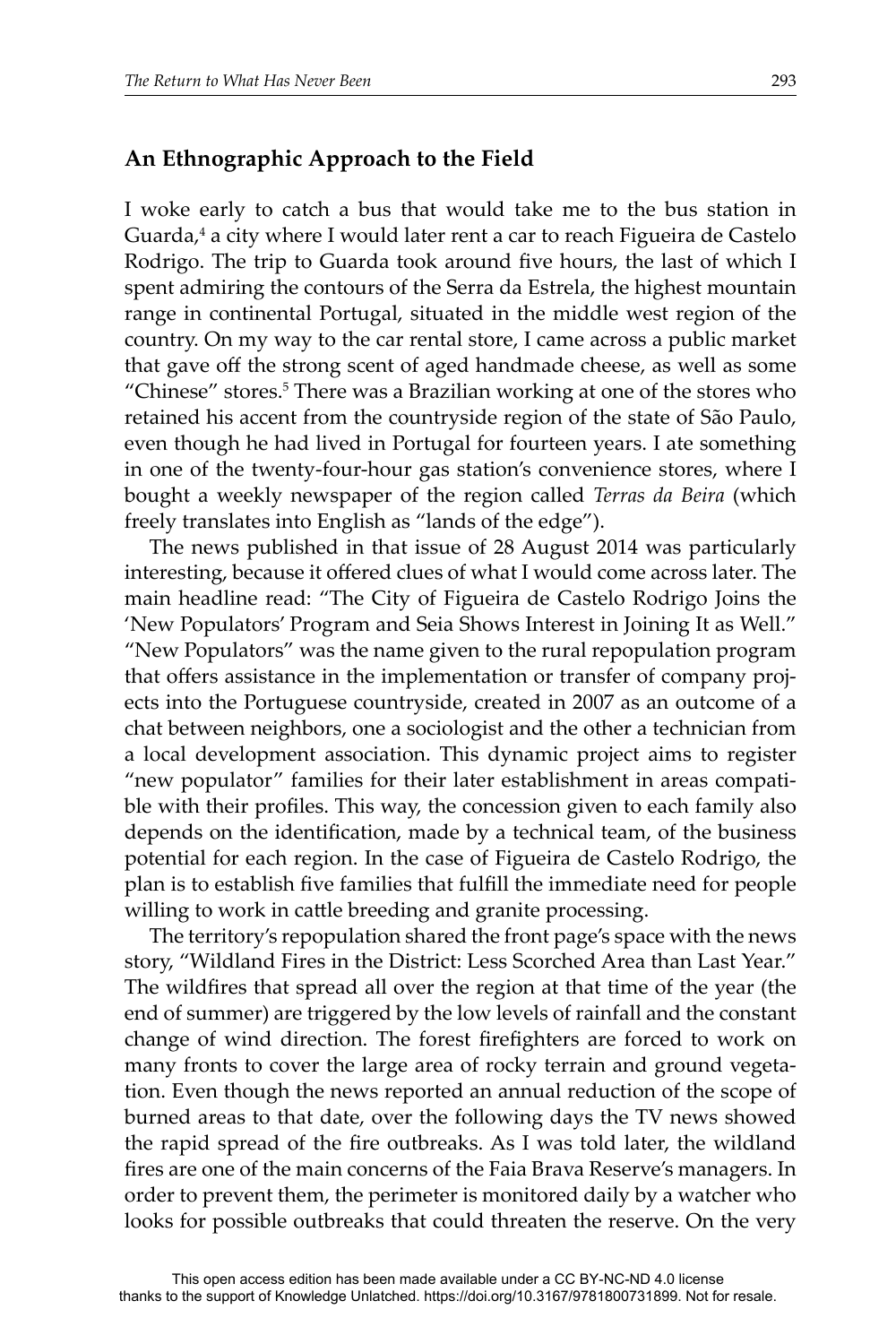# **An Ethnographic Approach to the Field**

I woke early to catch a bus that would take me to the bus station in Guarda,4 a city where I would later rent a car to reach Figueira de Castelo Rodrigo. The trip to Guarda took around five hours, the last of which I spent admiring the contours of the Serra da Estrela, the highest mountain range in continental Portugal, situated in the middle west region of the country. On my way to the car rental store, I came across a public market that gave off the strong scent of aged handmade cheese, as well as some "Chinese" stores.<sup>5</sup> There was a Brazilian working at one of the stores who retained his accent from the countryside region of the state of São Paulo, even though he had lived in Portugal for fourteen years. I ate something in one of the twenty-four-hour gas station's convenience stores, where I bought a weekly newspaper of the region called *Terras da Beira* (which freely translates into English as "lands of the edge").

The news published in that issue of 28 August 2014 was particularly interesting, because it offered clues of what I would come across later. The main headline read: "The City of Figueira de Castelo Rodrigo Joins the 'New Populators' Program and Seia Shows Interest in Joining It as Well." "New Populators" was the name given to the rural repopulation program that offers assistance in the implementation or transfer of company projects into the Portuguese countryside, created in 2007 as an outcome of a chat between neighbors, one a sociologist and the other a technician from a local development association. This dynamic project aims to register "new populator" families for their later establishment in areas compatible with their profiles. This way, the concession given to each family also depends on the identification, made by a technical team, of the business potential for each region. In the case of Figueira de Castelo Rodrigo, the plan is to establish five families that fulfill the immediate need for people willing to work in cattle breeding and granite processing.

The territory's repopulation shared the front page's space with the news story, "Wildland Fires in the District: Less Scorched Area than Last Year." The wildfires that spread all over the region at that time of the year (the end of summer) are triggered by the low levels of rainfall and the constant change of wind direction. The forest firefighters are forced to work on many fronts to cover the large area of rocky terrain and ground vegetation. Even though the news reported an annual reduction of the scope of burned areas to that date, over the following days the TV news showed the rapid spread of the fire outbreaks. As I was told later, the wildland fires are one of the main concerns of the Faia Brava Reserve's managers. In order to prevent them, the perimeter is monitored daily by a watcher who looks for possible outbreaks that could threaten the reserve. On the very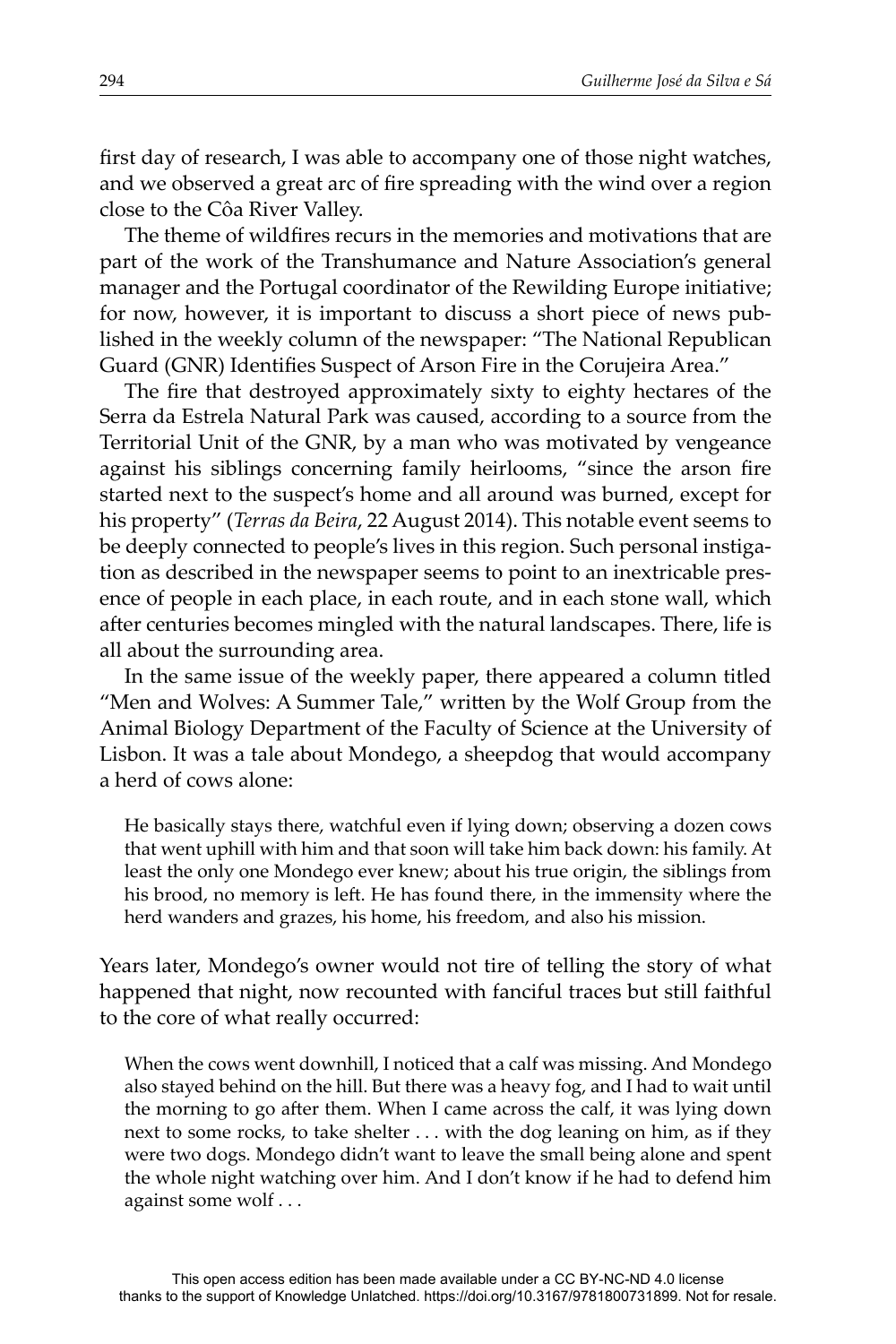first day of research, I was able to accompany one of those night watches, and we observed a great arc of fire spreading with the wind over a region close to the Côa River Valley.

The theme of wildfires recurs in the memories and motivations that are part of the work of the Transhumance and Nature Association's general manager and the Portugal coordinator of the Rewilding Europe initiative; for now, however, it is important to discuss a short piece of news published in the weekly column of the newspaper: "The National Republican Guard (GNR) Identifies Suspect of Arson Fire in the Corujeira Area."

The fire that destroyed approximately sixty to eighty hectares of the Serra da Estrela Natural Park was caused, according to a source from the Territorial Unit of the GNR, by a man who was motivated by vengeance against his siblings concerning family heirlooms, "since the arson fire started next to the suspect's home and all around was burned, except for his property" (*Terras da Beira*, 22 August 2014). This notable event seems to be deeply connected to people's lives in this region. Such personal instigation as described in the newspaper seems to point to an inextricable presence of people in each place, in each route, and in each stone wall, which after centuries becomes mingled with the natural landscapes. There, life is all about the surrounding area.

In the same issue of the weekly paper, there appeared a column titled "Men and Wolves: A Summer Tale," written by the Wolf Group from the Animal Biology Department of the Faculty of Science at the University of Lisbon. It was a tale about Mondego, a sheepdog that would accompany a herd of cows alone:

He basically stays there, watchful even if lying down; observing a dozen cows that went uphill with him and that soon will take him back down: his family. At least the only one Mondego ever knew; about his true origin, the siblings from his brood, no memory is left. He has found there, in the immensity where the herd wanders and grazes, his home, his freedom, and also his mission.

Years later, Mondego's owner would not tire of telling the story of what happened that night, now recounted with fanciful traces but still faithful to the core of what really occurred:

When the cows went downhill, I noticed that a calf was missing. And Mondego also stayed behind on the hill. But there was a heavy fog, and I had to wait until the morning to go after them. When I came across the calf, it was lying down next to some rocks, to take shelter . . . with the dog leaning on him, as if they were two dogs. Mondego didn't want to leave the small being alone and spent the whole night watching over him. And I don't know if he had to defend him against some wolf . . .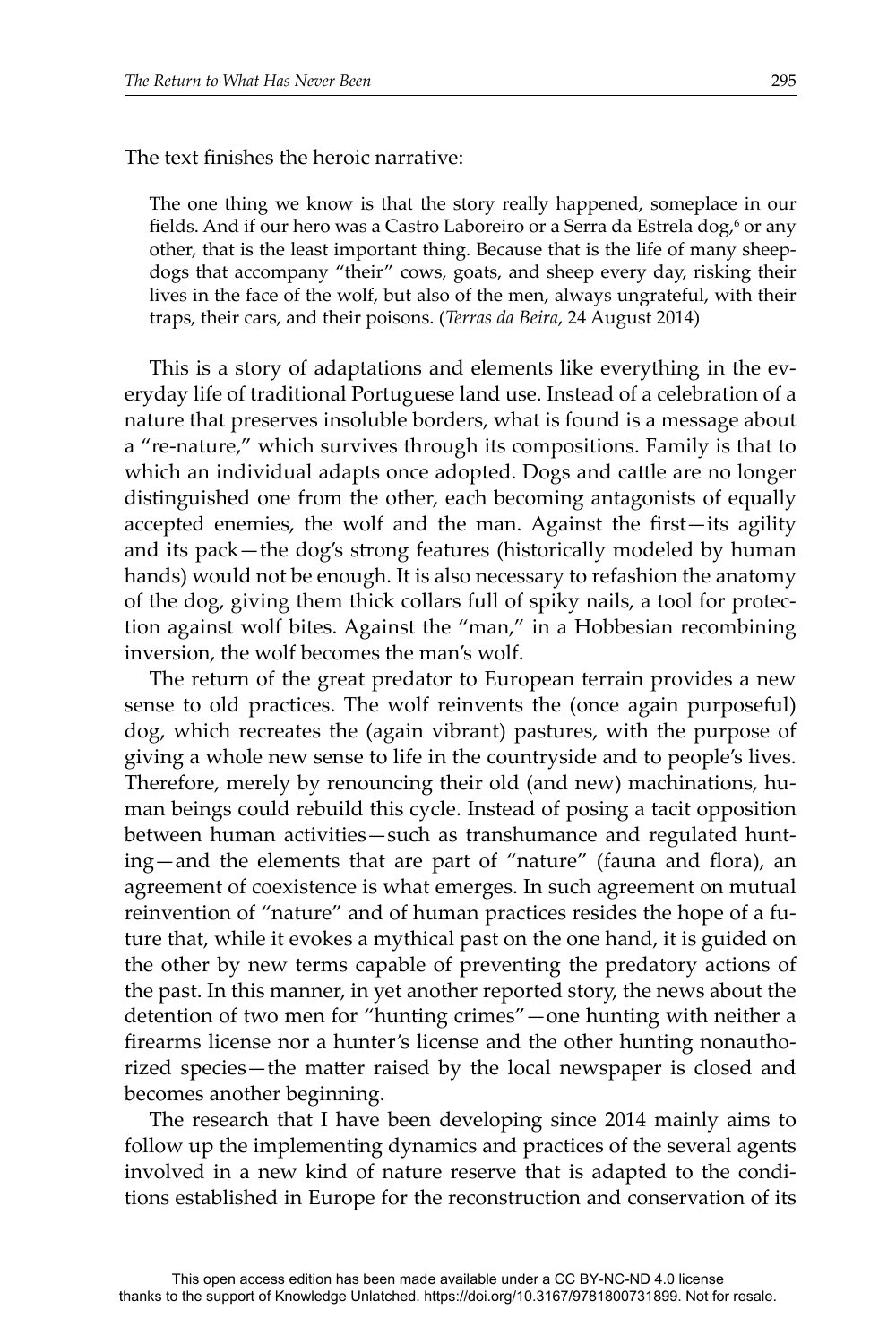The text finishes the heroic narrative:

The one thing we know is that the story really happened, someplace in our fields. And if our hero was a Castro Laboreiro or a Serra da Estrela dog,<sup>6</sup> or any other, that is the least important thing. Because that is the life of many sheepdogs that accompany "their" cows, goats, and sheep every day, risking their lives in the face of the wolf, but also of the men, always ungrateful, with their traps, their cars, and their poisons. (*Terras da Beira*, 24 August 2014)

This is a story of adaptations and elements like everything in the everyday life of traditional Portuguese land use. Instead of a celebration of a nature that preserves insoluble borders, what is found is a message about a "re-nature," which survives through its compositions. Family is that to which an individual adapts once adopted. Dogs and cattle are no longer distinguished one from the other, each becoming antagonists of equally accepted enemies, the wolf and the man. Against the first-its agility and its pack—the dog's strong features (historically modeled by human hands) would not be enough. It is also necessary to refashion the anatomy of the dog, giving them thick collars full of spiky nails, a tool for protection against wolf bites. Against the "man," in a Hobbesian recombining inversion, the wolf becomes the man's wolf.

The return of the great predator to European terrain provides a new sense to old practices. The wolf reinvents the (once again purposeful) dog, which recreates the (again vibrant) pastures, with the purpose of giving a whole new sense to life in the countryside and to people's lives. Therefore, merely by renouncing their old (and new) machinations, human beings could rebuild this cycle. Instead of posing a tacit opposition between human activities—such as transhumance and regulated hunting—and the elements that are part of "nature" (fauna and flora), an agreement of coexistence is what emerges. In such agreement on mutual reinvention of "nature" and of human practices resides the hope of a future that, while it evokes a mythical past on the one hand, it is guided on the other by new terms capable of preventing the predatory actions of the past. In this manner, in yet another reported story, the news about the detention of two men for "hunting crimes"—one hunting with neither a firearms license nor a hunter's license and the other hunting nonauthorized species-the matter raised by the local newspaper is closed and becomes another beginning.

The research that I have been developing since 2014 mainly aims to follow up the implementing dynamics and practices of the several agents involved in a new kind of nature reserve that is adapted to the conditions established in Europe for the reconstruction and conservation of its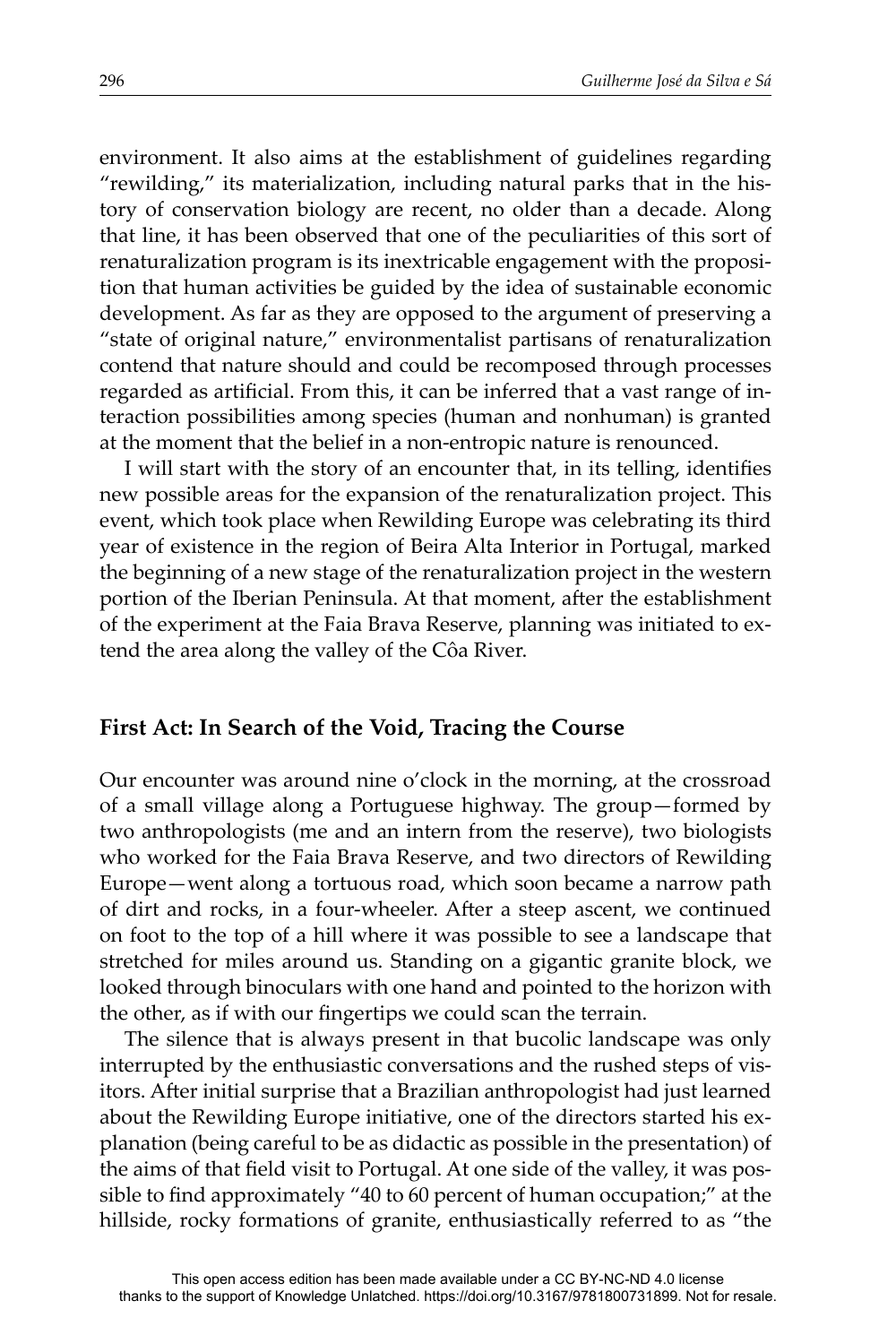environment. It also aims at the establishment of guidelines regarding "rewilding," its materialization, including natural parks that in the history of conservation biology are recent, no older than a decade. Along that line, it has been observed that one of the peculiarities of this sort of renaturalization program is its inextricable engagement with the proposition that human activities be guided by the idea of sustainable economic development. As far as they are opposed to the argument of preserving a "state of original nature," environmentalist partisans of renaturalization contend that nature should and could be recomposed through processes regarded as artificial. From this, it can be inferred that a vast range of interaction possibilities among species (human and nonhuman) is granted at the moment that the belief in a non-entropic nature is renounced.

I will start with the story of an encounter that, in its telling, identifies new possible areas for the expansion of the renaturalization project. This event, which took place when Rewilding Europe was celebrating its third year of existence in the region of Beira Alta Interior in Portugal, marked the beginning of a new stage of the renaturalization project in the western portion of the Iberian Peninsula. At that moment, after the establishment of the experiment at the Faia Brava Reserve, planning was initiated to extend the area along the valley of the Côa River.

#### **First Act: In Search of the Void, Tracing the Course**

Our encounter was around nine o'clock in the morning, at the crossroad of a small village along a Portuguese highway. The group—formed by two anthropologists (me and an intern from the reserve), two biologists who worked for the Faia Brava Reserve, and two directors of Rewilding Europe—went along a tortuous road, which soon became a narrow path of dirt and rocks, in a four-wheeler. After a steep ascent, we continued on foot to the top of a hill where it was possible to see a landscape that stretched for miles around us. Standing on a gigantic granite block, we looked through binoculars with one hand and pointed to the horizon with the other, as if with our fingertips we could scan the terrain.

The silence that is always present in that bucolic landscape was only interrupted by the enthusiastic conversations and the rushed steps of visitors. After initial surprise that a Brazilian anthropologist had just learned about the Rewilding Europe initiative, one of the directors started his explanation (being careful to be as didactic as possible in the presentation) of the aims of that field visit to Portugal. At one side of the valley, it was possible to find approximately "40 to 60 percent of human occupation;" at the hillside, rocky formations of granite, enthusiastically referred to as "the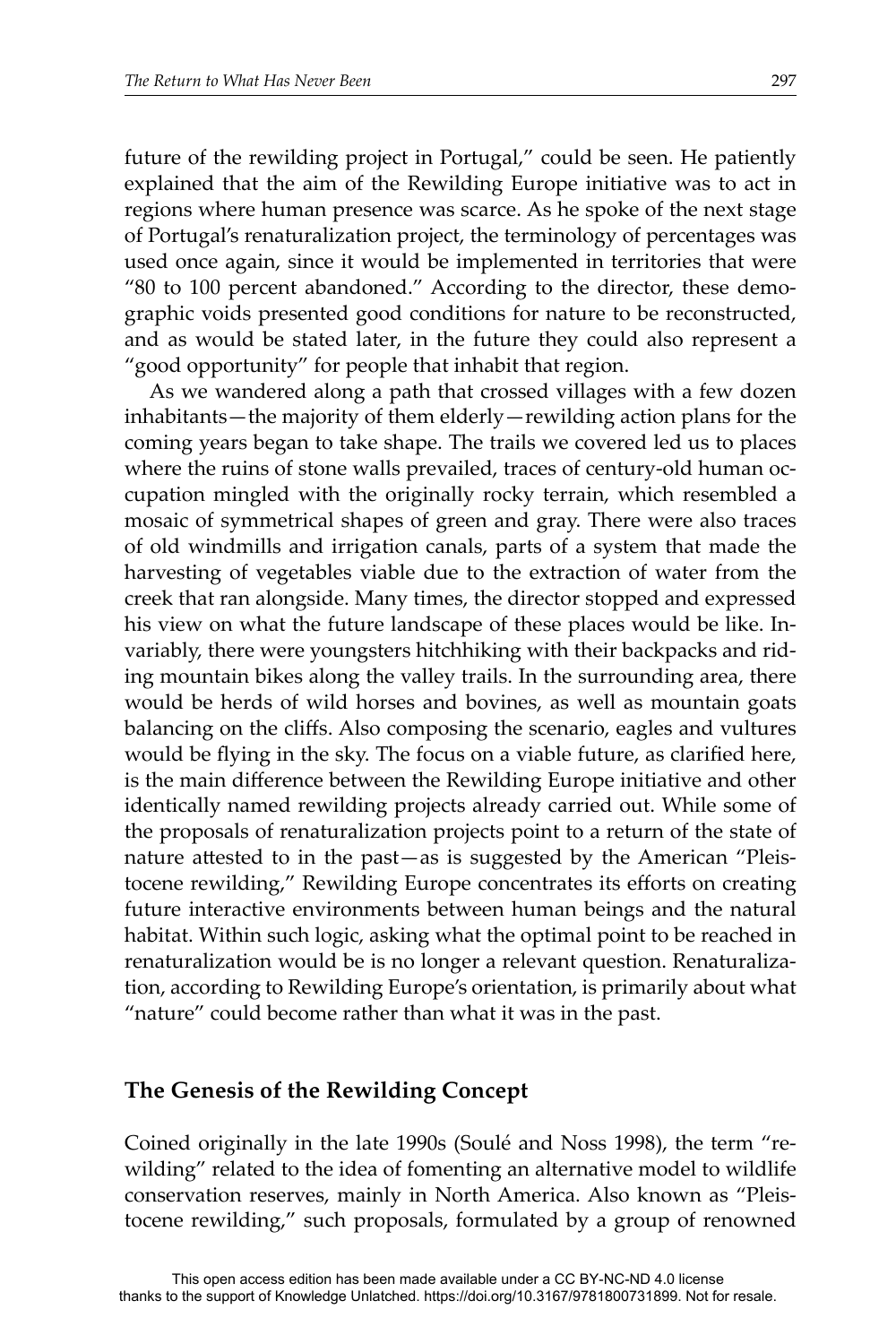future of the rewilding project in Portugal," could be seen. He patiently explained that the aim of the Rewilding Europe initiative was to act in regions where human presence was scarce. As he spoke of the next stage of Portugal's renaturalization project, the terminology of percentages was used once again, since it would be implemented in territories that were "80 to 100 percent abandoned." According to the director, these demographic voids presented good conditions for nature to be reconstructed, and as would be stated later, in the future they could also represent a "good opportunity" for people that inhabit that region.

As we wandered along a path that crossed villages with a few dozen inhabitants—the majority of them elderly—rewilding action plans for the coming years began to take shape. The trails we covered led us to places where the ruins of stone walls prevailed, traces of century-old human occupation mingled with the originally rocky terrain, which resembled a mosaic of symmetrical shapes of green and gray. There were also traces of old windmills and irrigation canals, parts of a system that made the harvesting of vegetables viable due to the extraction of water from the creek that ran alongside. Many times, the director stopped and expressed his view on what the future landscape of these places would be like. Invariably, there were youngsters hitchhiking with their backpacks and riding mountain bikes along the valley trails. In the surrounding area, there would be herds of wild horses and bovines, as well as mountain goats balancing on the cliffs. Also composing the scenario, eagles and vultures would be flying in the sky. The focus on a viable future, as clarified here, is the main difference between the Rewilding Europe initiative and other identically named rewilding projects already carried out. While some of the proposals of renaturalization projects point to a return of the state of nature attested to in the past—as is suggested by the American "Pleistocene rewilding," Rewilding Europe concentrates its efforts on creating future interactive environments between human beings and the natural habitat. Within such logic, asking what the optimal point to be reached in renaturalization would be is no longer a relevant question. Renaturalization, according to Rewilding Europe's orientation, is primarily about what "nature" could become rather than what it was in the past.

#### **The Genesis of the Rewilding Concept**

Coined originally in the late 1990s (Soulé and Noss 1998), the term "rewilding" related to the idea of fomenting an alternative model to wildlife conservation reserves, mainly in North America. Also known as "Pleistocene rewilding," such proposals, formulated by a group of renowned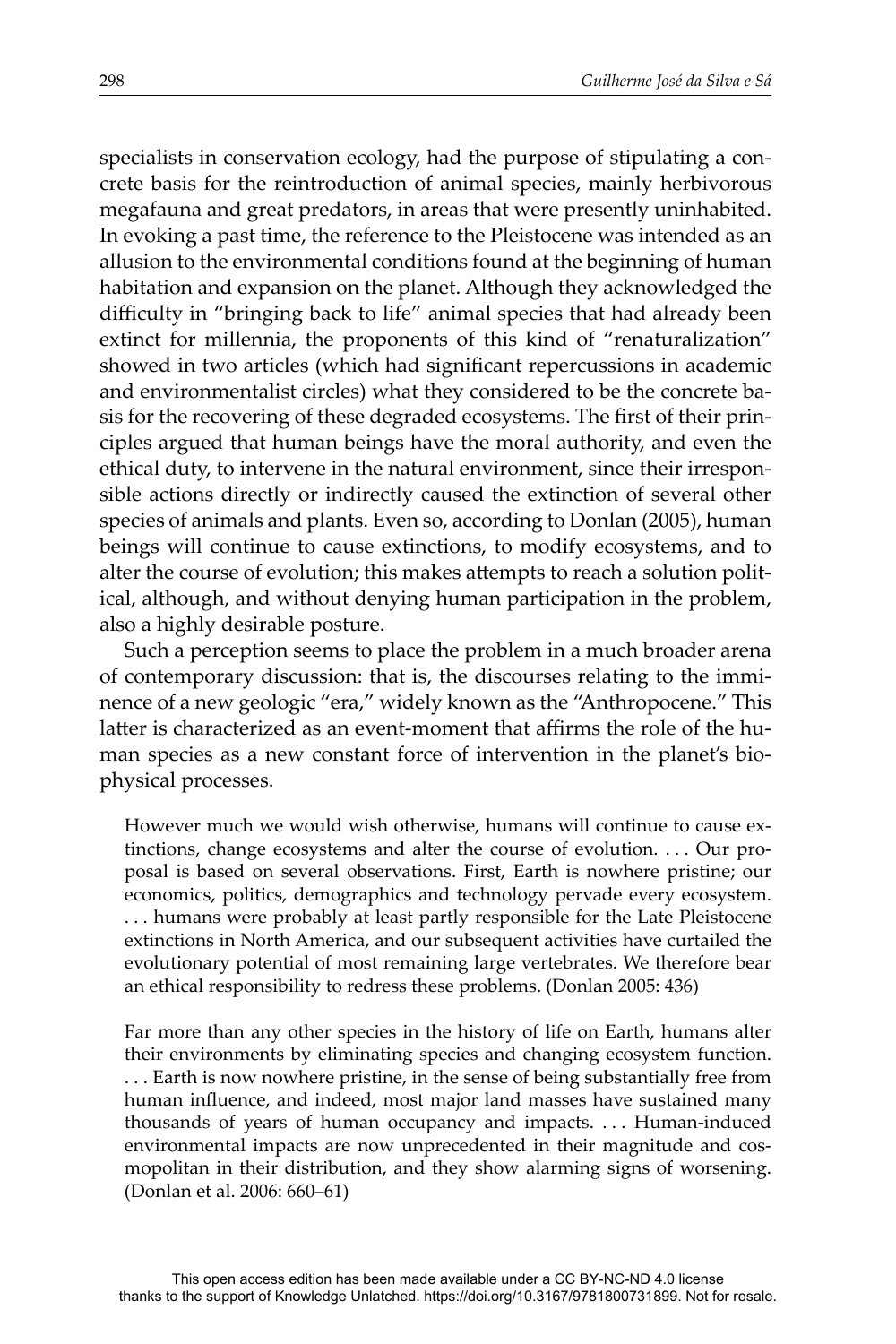specialists in conservation ecology, had the purpose of stipulating a concrete basis for the reintroduction of animal species, mainly herbivorous megafauna and great predators, in areas that were presently uninhabited. In evoking a past time, the reference to the Pleistocene was intended as an allusion to the environmental conditions found at the beginning of human habitation and expansion on the planet. Although they acknowledged the difficulty in "bringing back to life" animal species that had already been extinct for millennia, the proponents of this kind of "renaturalization" showed in two articles (which had significant repercussions in academic and environmentalist circles) what they considered to be the concrete basis for the recovering of these degraded ecosystems. The first of their principles argued that human beings have the moral authority, and even the ethical duty, to intervene in the natural environment, since their irresponsible actions directly or indirectly caused the extinction of several other species of animals and plants. Even so, according to Donlan (2005), human beings will continue to cause extinctions, to modify ecosystems, and to alter the course of evolution; this makes attempts to reach a solution political, although, and without denying human participation in the problem, also a highly desirable posture.

Such a perception seems to place the problem in a much broader arena of contemporary discussion: that is, the discourses relating to the imminence of a new geologic "era," widely known as the "Anthropocene." This latter is characterized as an event-moment that affirms the role of the human species as a new constant force of intervention in the planet's biophysical processes.

However much we would wish otherwise, humans will continue to cause extinctions, change ecosystems and alter the course of evolution. . . . Our proposal is based on several observations. First, Earth is nowhere pristine; our economics, politics, demographics and technology pervade every ecosystem. . . . humans were probably at least partly responsible for the Late Pleistocene extinctions in North America, and our subsequent activities have curtailed the evolutionary potential of most remaining large vertebrates. We therefore bear an ethical responsibility to redress these problems. (Donlan 2005: 436)

Far more than any other species in the history of life on Earth, humans alter their environments by eliminating species and changing ecosystem function. . . . Earth is now nowhere pristine, in the sense of being substantially free from human influence, and indeed, most major land masses have sustained many thousands of years of human occupancy and impacts. . . . Human-induced environmental impacts are now unprecedented in their magnitude and cosmopolitan in their distribution, and they show alarming signs of worsening. (Donlan et al. 2006: 660–61)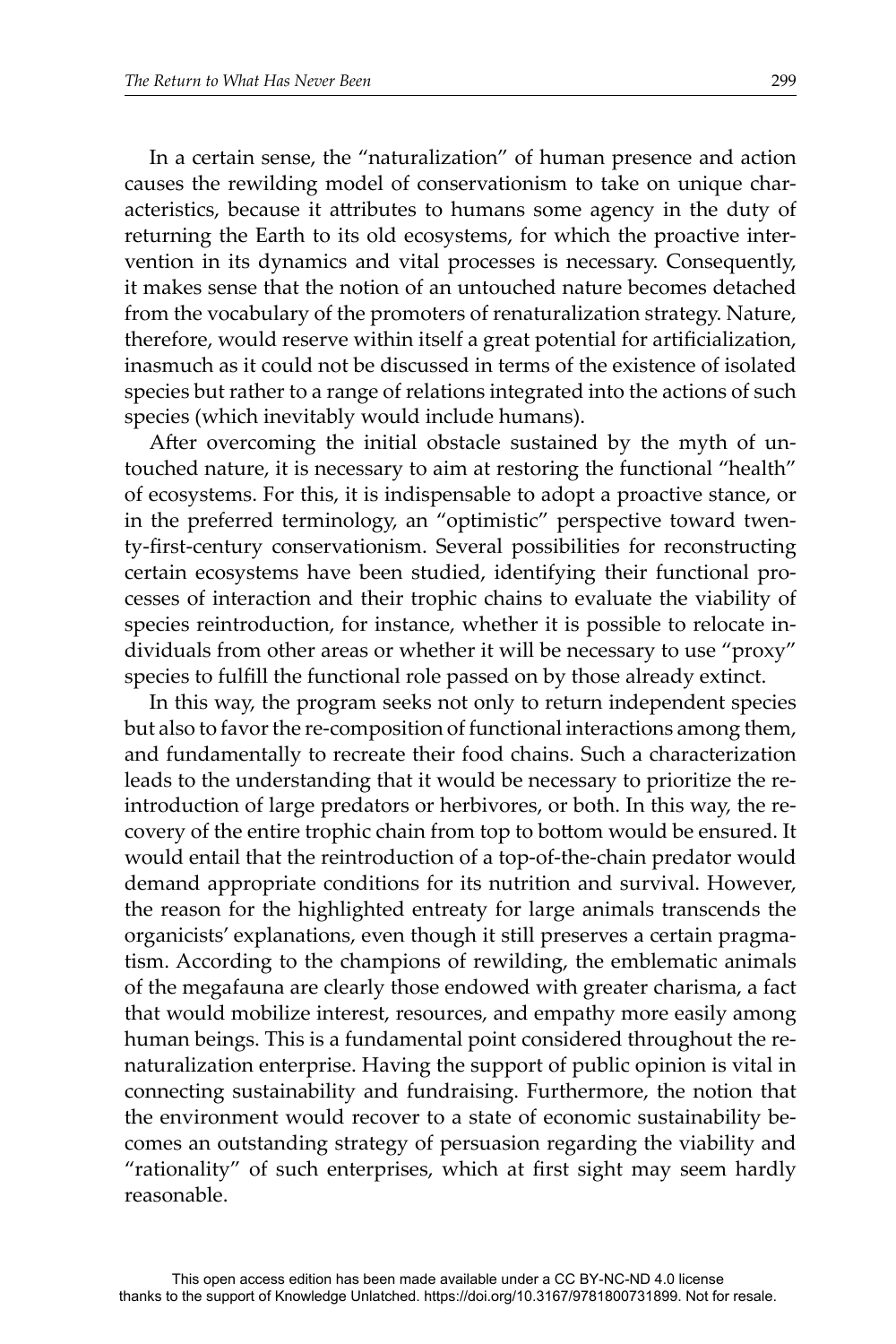In a certain sense, the "naturalization" of human presence and action causes the rewilding model of conservationism to take on unique characteristics, because it attributes to humans some agency in the duty of returning the Earth to its old ecosystems, for which the proactive intervention in its dynamics and vital processes is necessary. Consequently, it makes sense that the notion of an untouched nature becomes detached from the vocabulary of the promoters of renaturalization strategy. Nature, therefore, would reserve within itself a great potential for artificialization, inasmuch as it could not be discussed in terms of the existence of isolated species but rather to a range of relations integrated into the actions of such species (which inevitably would include humans).

After overcoming the initial obstacle sustained by the myth of untouched nature, it is necessary to aim at restoring the functional "health" of ecosystems. For this, it is indispensable to adopt a proactive stance, or in the preferred terminology, an "optimistic" perspective toward twenty-first-century conservationism. Several possibilities for reconstructing certain ecosystems have been studied, identifying their functional processes of interaction and their trophic chains to evaluate the viability of species reintroduction, for instance, whether it is possible to relocate individuals from other areas or whether it will be necessary to use "proxy" species to fulfill the functional role passed on by those already extinct.

In this way, the program seeks not only to return independent species but also to favor the re-composition of functional interactions among them, and fundamentally to recreate their food chains. Such a characterization leads to the understanding that it would be necessary to prioritize the reintroduction of large predators or herbivores, or both. In this way, the recovery of the entire trophic chain from top to bottom would be ensured. It would entail that the reintroduction of a top-of-the-chain predator would demand appropriate conditions for its nutrition and survival. However, the reason for the highlighted entreaty for large animals transcends the organicists' explanations, even though it still preserves a certain pragmatism. According to the champions of rewilding, the emblematic animals of the megafauna are clearly those endowed with greater charisma, a fact that would mobilize interest, resources, and empathy more easily among human beings. This is a fundamental point considered throughout the renaturalization enterprise. Having the support of public opinion is vital in connecting sustainability and fundraising. Furthermore, the notion that the environment would recover to a state of economic sustainability becomes an outstanding strategy of persuasion regarding the viability and "rationality" of such enterprises, which at first sight may seem hardly reasonable.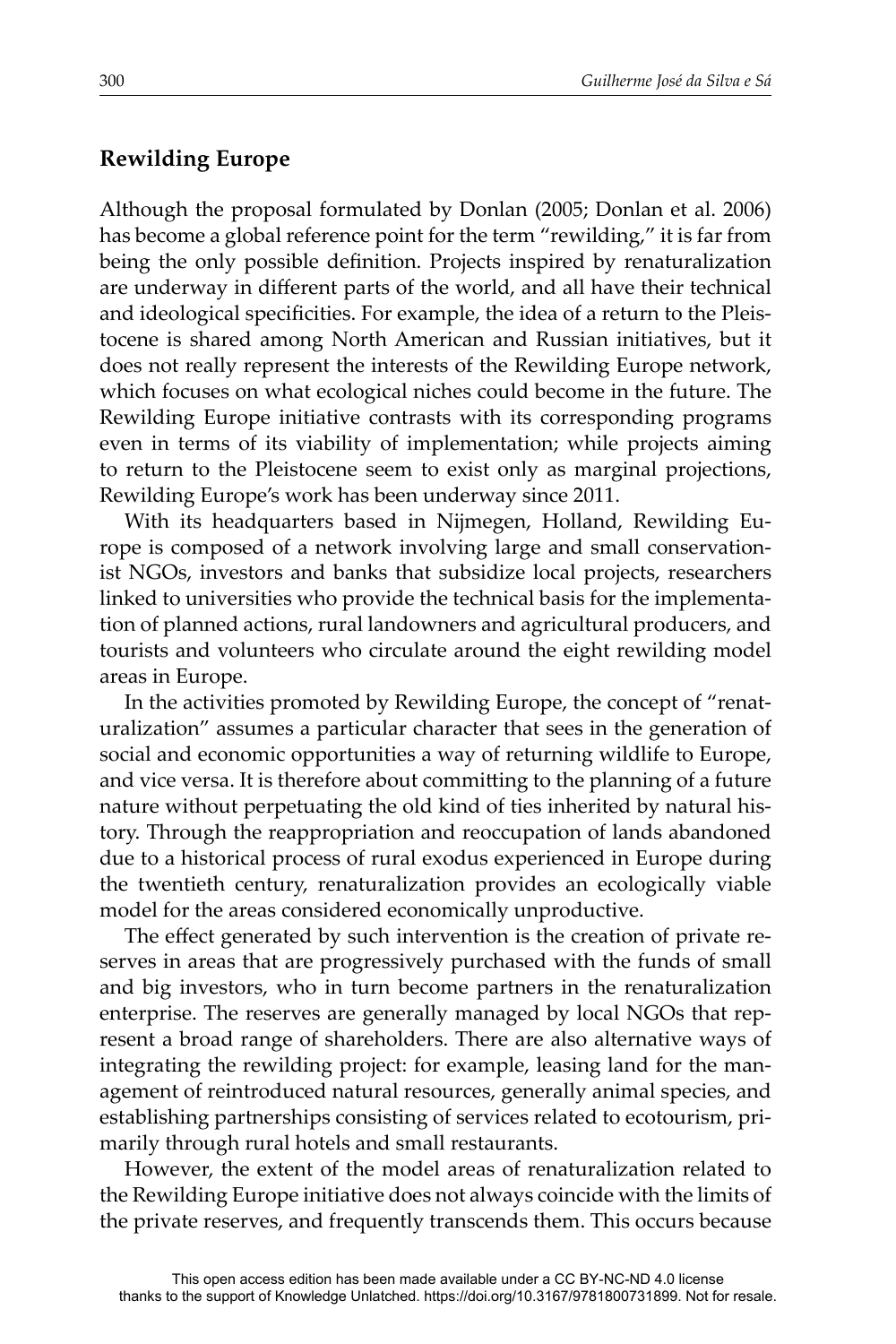# **Rewilding Europe**

Although the proposal formulated by Donlan (2005; Donlan et al. 2006) has become a global reference point for the term "rewilding," it is far from being the only possible definition. Projects inspired by renaturalization are underway in different parts of the world, and all have their technical and ideological specificities. For example, the idea of a return to the Pleistocene is shared among North American and Russian initiatives, but it does not really represent the interests of the Rewilding Europe network, which focuses on what ecological niches could become in the future. The Rewilding Europe initiative contrasts with its corresponding programs even in terms of its viability of implementation; while projects aiming to return to the Pleistocene seem to exist only as marginal projections, Rewilding Europe's work has been underway since 2011.

With its headquarters based in Nijmegen, Holland, Rewilding Europe is composed of a network involving large and small conservationist NGOs, investors and banks that subsidize local projects, researchers linked to universities who provide the technical basis for the implementation of planned actions, rural landowners and agricultural producers, and tourists and volunteers who circulate around the eight rewilding model areas in Europe.

In the activities promoted by Rewilding Europe, the concept of "renaturalization" assumes a particular character that sees in the generation of social and economic opportunities a way of returning wildlife to Europe, and vice versa. It is therefore about committing to the planning of a future nature without perpetuating the old kind of ties inherited by natural history. Through the reappropriation and reoccupation of lands abandoned due to a historical process of rural exodus experienced in Europe during the twentieth century, renaturalization provides an ecologically viable model for the areas considered economically unproductive.

The effect generated by such intervention is the creation of private reserves in areas that are progressively purchased with the funds of small and big investors, who in turn become partners in the renaturalization enterprise. The reserves are generally managed by local NGOs that represent a broad range of shareholders. There are also alternative ways of integrating the rewilding project: for example, leasing land for the management of reintroduced natural resources, generally animal species, and establishing partnerships consisting of services related to ecotourism, primarily through rural hotels and small restaurants.

However, the extent of the model areas of renaturalization related to the Rewilding Europe initiative does not always coincide with the limits of the private reserves, and frequently transcends them. This occurs because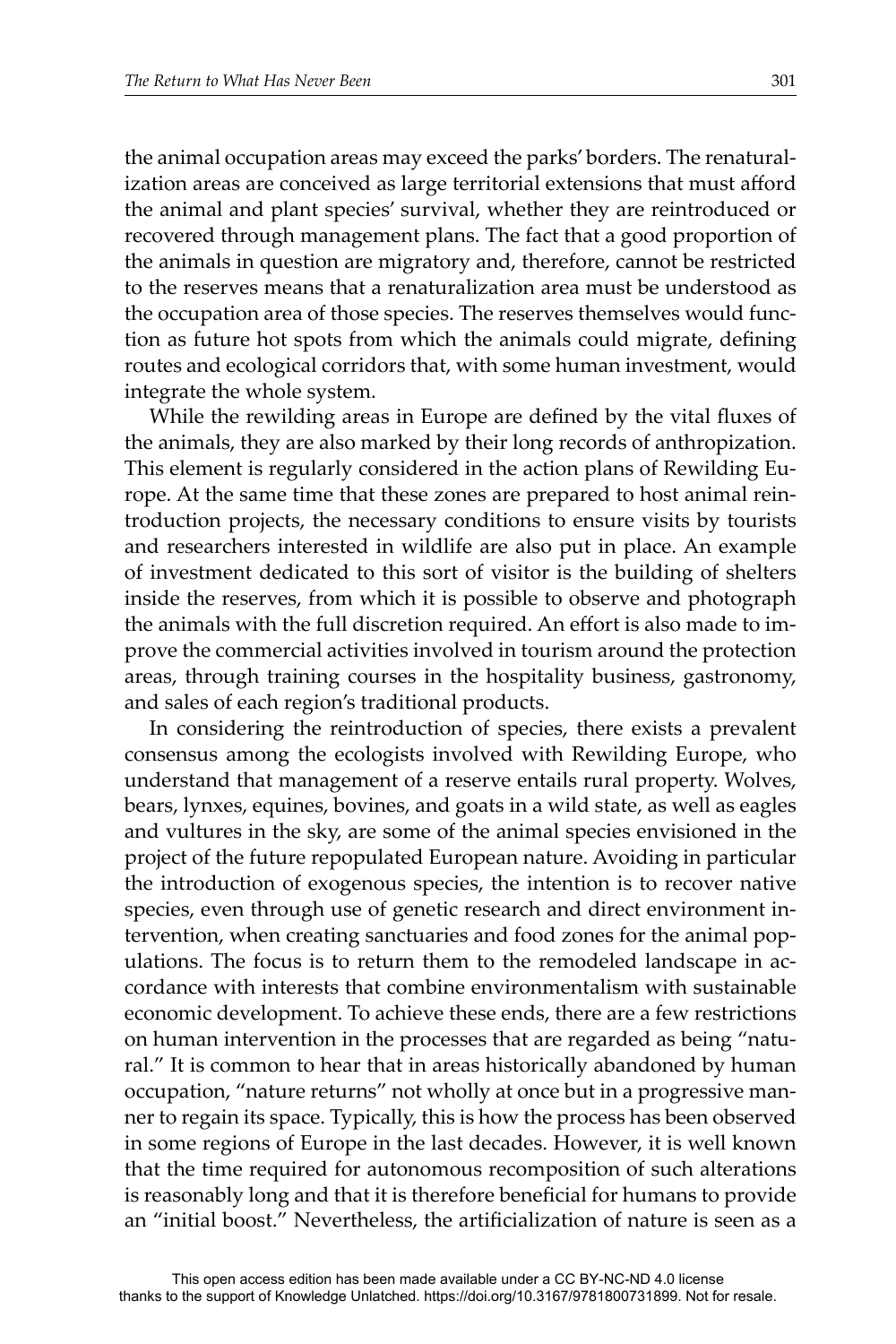the animal occupation areas may exceed the parks' borders. The renaturalization areas are conceived as large territorial extensions that must afford the animal and plant species' survival, whether they are reintroduced or recovered through management plans. The fact that a good proportion of the animals in question are migratory and, therefore, cannot be restricted to the reserves means that a renaturalization area must be understood as the occupation area of those species. The reserves themselves would function as future hot spots from which the animals could migrate, defining routes and ecological corridors that, with some human investment, would integrate the whole system.

While the rewilding areas in Europe are defined by the vital fluxes of the animals, they are also marked by their long records of anthropization. This element is regularly considered in the action plans of Rewilding Europe. At the same time that these zones are prepared to host animal reintroduction projects, the necessary conditions to ensure visits by tourists and researchers interested in wildlife are also put in place. An example of investment dedicated to this sort of visitor is the building of shelters inside the reserves, from which it is possible to observe and photograph the animals with the full discretion required. An effort is also made to improve the commercial activities involved in tourism around the protection areas, through training courses in the hospitality business, gastronomy, and sales of each region's traditional products.

In considering the reintroduction of species, there exists a prevalent consensus among the ecologists involved with Rewilding Europe, who understand that management of a reserve entails rural property. Wolves, bears, lynxes, equines, bovines, and goats in a wild state, as well as eagles and vultures in the sky, are some of the animal species envisioned in the project of the future repopulated European nature. Avoiding in particular the introduction of exogenous species, the intention is to recover native species, even through use of genetic research and direct environment intervention, when creating sanctuaries and food zones for the animal populations. The focus is to return them to the remodeled landscape in accordance with interests that combine environmentalism with sustainable economic development. To achieve these ends, there are a few restrictions on human intervention in the processes that are regarded as being "natural." It is common to hear that in areas historically abandoned by human occupation, "nature returns" not wholly at once but in a progressive manner to regain its space. Typically, this is how the process has been observed in some regions of Europe in the last decades. However, it is well known that the time required for autonomous recomposition of such alterations is reasonably long and that it is therefore beneficial for humans to provide an "initial boost." Nevertheless, the artificialization of nature is seen as a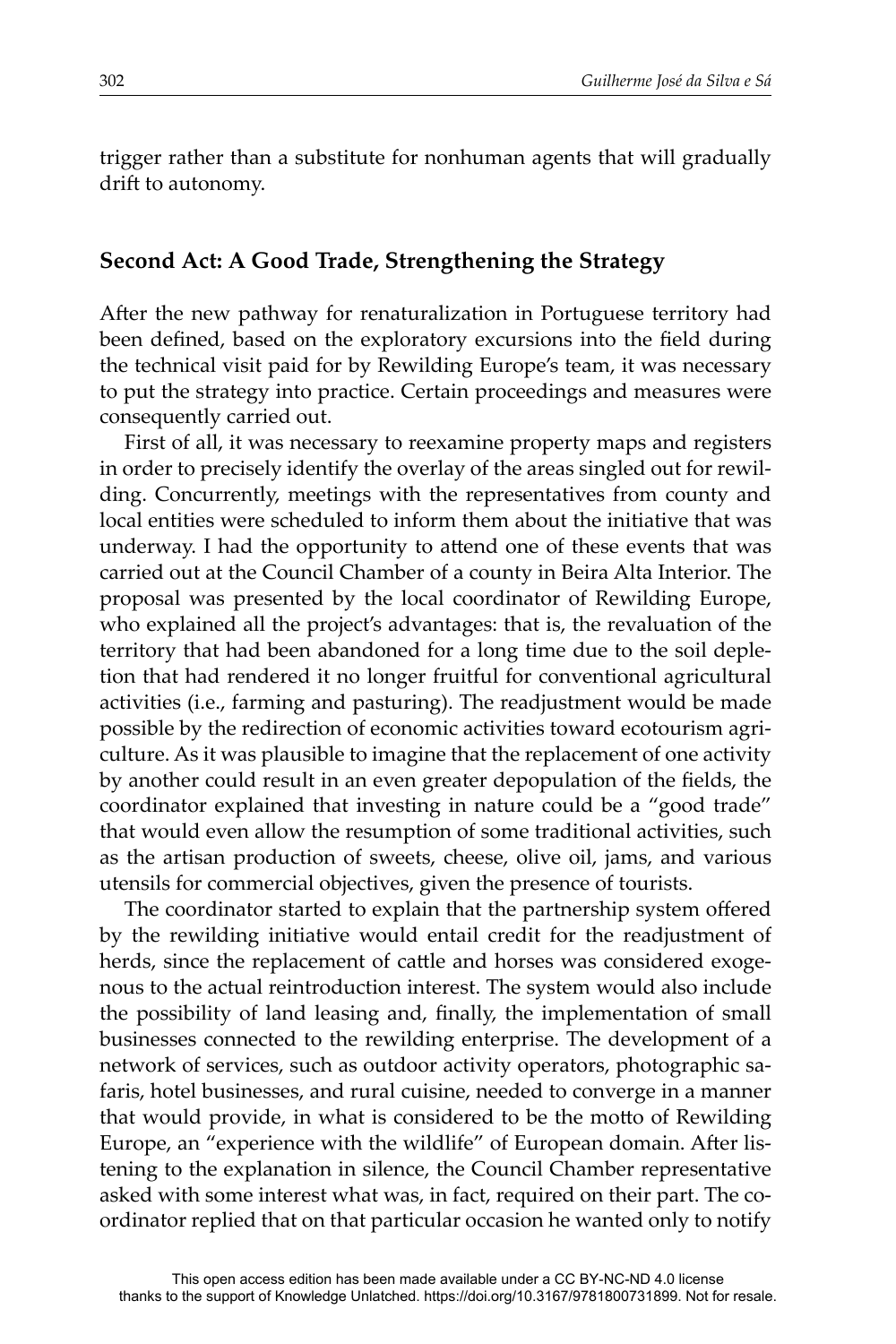trigger rather than a substitute for nonhuman agents that will gradually drift to autonomy.

#### **Second Act: A Good Trade, Strengthening the Strategy**

After the new pathway for renaturalization in Portuguese territory had been defined, based on the exploratory excursions into the field during the technical visit paid for by Rewilding Europe's team, it was necessary to put the strategy into practice. Certain proceedings and measures were consequently carried out.

First of all, it was necessary to reexamine property maps and registers in order to precisely identify the overlay of the areas singled out for rewilding. Concurrently, meetings with the representatives from county and local entities were scheduled to inform them about the initiative that was underway. I had the opportunity to attend one of these events that was carried out at the Council Chamber of a county in Beira Alta Interior. The proposal was presented by the local coordinator of Rewilding Europe, who explained all the project's advantages: that is, the revaluation of the territory that had been abandoned for a long time due to the soil depletion that had rendered it no longer fruitful for conventional agricultural activities (i.e., farming and pasturing). The readjustment would be made possible by the redirection of economic activities toward ecotourism agriculture. As it was plausible to imagine that the replacement of one activity by another could result in an even greater depopulation of the fields, the coordinator explained that investing in nature could be a "good trade" that would even allow the resumption of some traditional activities, such as the artisan production of sweets, cheese, olive oil, jams, and various utensils for commercial objectives, given the presence of tourists.

The coordinator started to explain that the partnership system offered by the rewilding initiative would entail credit for the readjustment of herds, since the replacement of cattle and horses was considered exogenous to the actual reintroduction interest. The system would also include the possibility of land leasing and, finally, the implementation of small businesses connected to the rewilding enterprise. The development of a network of services, such as outdoor activity operators, photographic safaris, hotel businesses, and rural cuisine, needed to converge in a manner that would provide, in what is considered to be the motto of Rewilding Europe, an "experience with the wildlife" of European domain. After listening to the explanation in silence, the Council Chamber representative asked with some interest what was, in fact, required on their part. The coordinator replied that on that particular occasion he wanted only to notify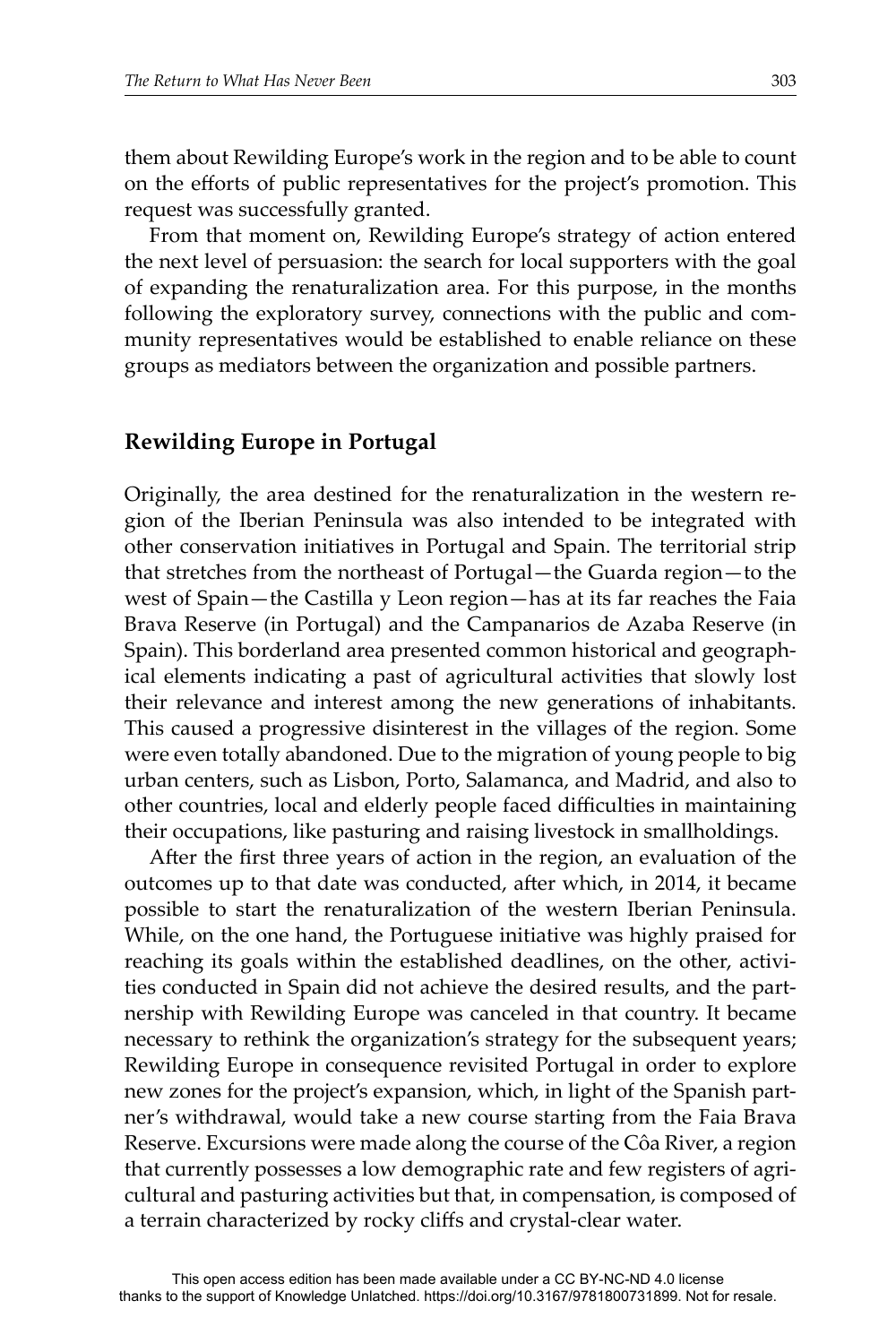them about Rewilding Europe's work in the region and to be able to count on the efforts of public representatives for the project's promotion. This request was successfully granted.

From that moment on, Rewilding Europe's strategy of action entered the next level of persuasion: the search for local supporters with the goal of expanding the renaturalization area. For this purpose, in the months following the exploratory survey, connections with the public and community representatives would be established to enable reliance on these groups as mediators between the organization and possible partners.

#### **Rewilding Europe in Portugal**

Originally, the area destined for the renaturalization in the western region of the Iberian Peninsula was also intended to be integrated with other conservation initiatives in Portugal and Spain. The territorial strip that stretches from the northeast of Portugal—the Guarda region—to the west of Spain—the Castilla y Leon region—has at its far reaches the Faia Brava Reserve (in Portugal) and the Campanarios de Azaba Reserve (in Spain). This borderland area presented common historical and geographical elements indicating a past of agricultural activities that slowly lost their relevance and interest among the new generations of inhabitants. This caused a progressive disinterest in the villages of the region. Some were even totally abandoned. Due to the migration of young people to big urban centers, such as Lisbon, Porto, Salamanca, and Madrid, and also to other countries, local and elderly people faced difficulties in maintaining their occupations, like pasturing and raising livestock in smallholdings.

After the first three years of action in the region, an evaluation of the outcomes up to that date was conducted, after which, in 2014, it became possible to start the renaturalization of the western Iberian Peninsula. While, on the one hand, the Portuguese initiative was highly praised for reaching its goals within the established deadlines, on the other, activities conducted in Spain did not achieve the desired results, and the partnership with Rewilding Europe was canceled in that country. It became necessary to rethink the organization's strategy for the subsequent years; Rewilding Europe in consequence revisited Portugal in order to explore new zones for the project's expansion, which, in light of the Spanish partner's withdrawal, would take a new course starting from the Faia Brava Reserve. Excursions were made along the course of the Côa River, a region that currently possesses a low demographic rate and few registers of agricultural and pasturing activities but that, in compensation, is composed of a terrain characterized by rocky cliffs and crystal-clear water.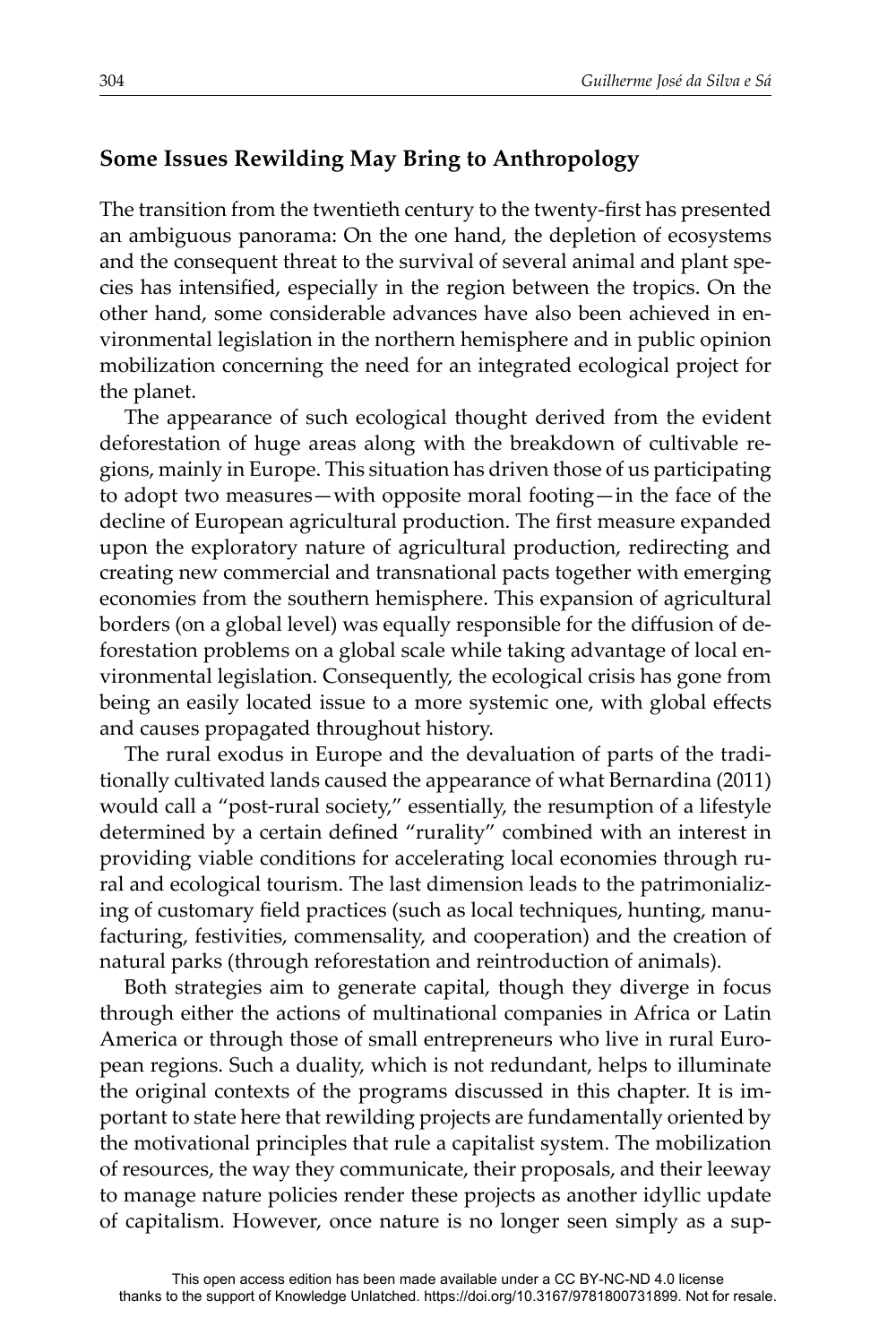# **Some Issues Rewilding May Bring to Anthropology**

The transition from the twentieth century to the twenty-first has presented an ambiguous panorama: On the one hand, the depletion of ecosystems and the consequent threat to the survival of several animal and plant species has intensified, especially in the region between the tropics. On the other hand, some considerable advances have also been achieved in environmental legislation in the northern hemisphere and in public opinion mobilization concerning the need for an integrated ecological project for the planet.

The appearance of such ecological thought derived from the evident deforestation of huge areas along with the breakdown of cultivable regions, mainly in Europe. This situation has driven those of us participating to adopt two measures—with opposite moral footing—in the face of the decline of European agricultural production. The first measure expanded upon the exploratory nature of agricultural production, redirecting and creating new commercial and transnational pacts together with emerging economies from the southern hemisphere. This expansion of agricultural borders (on a global level) was equally responsible for the diffusion of deforestation problems on a global scale while taking advantage of local environmental legislation. Consequently, the ecological crisis has gone from being an easily located issue to a more systemic one, with global effects and causes propagated throughout history.

The rural exodus in Europe and the devaluation of parts of the traditionally cultivated lands caused the appearance of what Bernardina (2011) would call a "post-rural society," essentially, the resumption of a lifestyle determined by a certain defined "rurality" combined with an interest in providing viable conditions for accelerating local economies through rural and ecological tourism. The last dimension leads to the patrimonializing of customary field practices (such as local techniques, hunting, manufacturing, festivities, commensality, and cooperation) and the creation of natural parks (through reforestation and reintroduction of animals).

Both strategies aim to generate capital, though they diverge in focus through either the actions of multinational companies in Africa or Latin America or through those of small entrepreneurs who live in rural European regions. Such a duality, which is not redundant, helps to illuminate the original contexts of the programs discussed in this chapter. It is important to state here that rewilding projects are fundamentally oriented by the motivational principles that rule a capitalist system. The mobilization of resources, the way they communicate, their proposals, and their leeway to manage nature policies render these projects as another idyllic update of capitalism. However, once nature is no longer seen simply as a sup-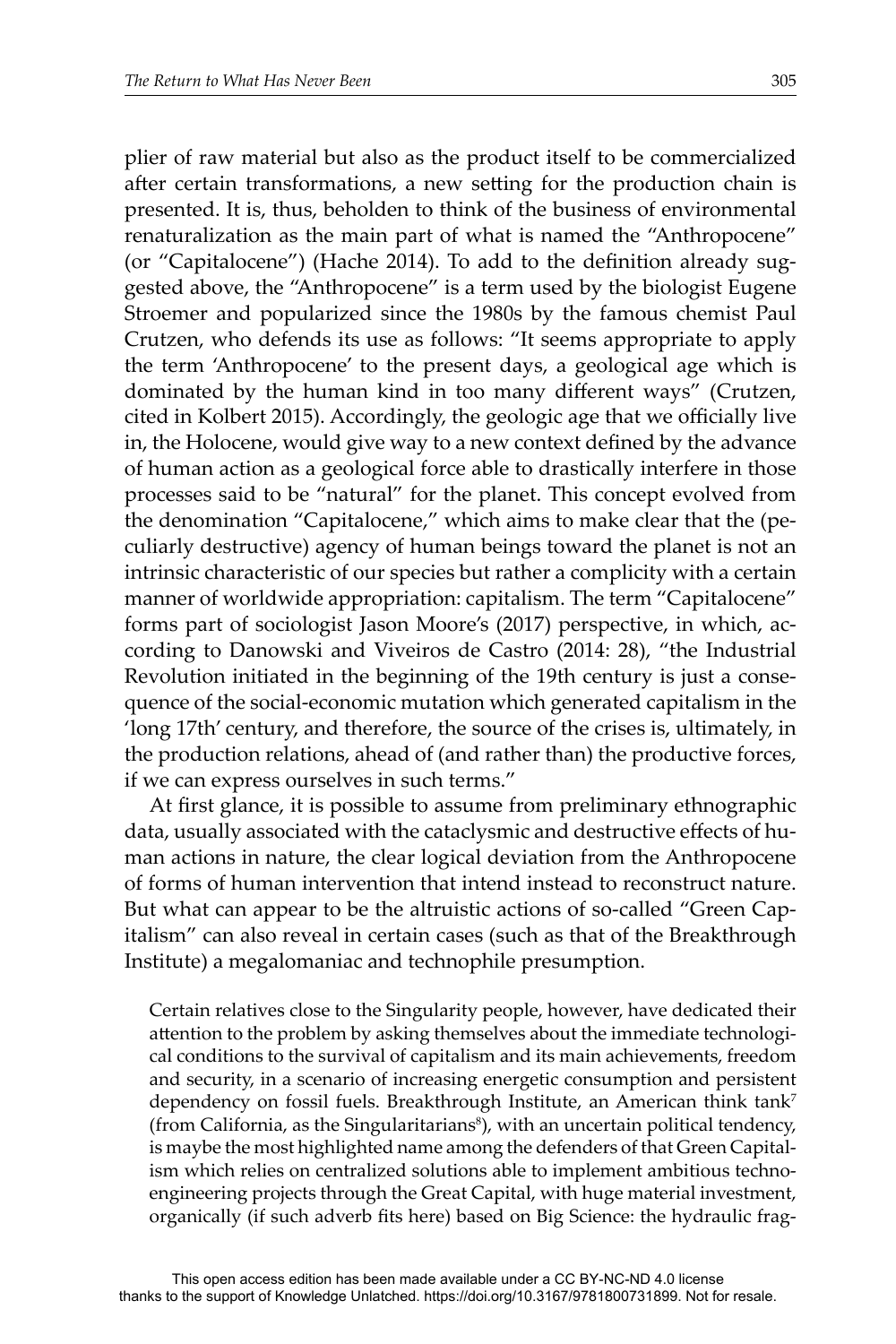plier of raw material but also as the product itself to be commercialized after certain transformations, a new setting for the production chain is presented. It is, thus, beholden to think of the business of environmental renaturalization as the main part of what is named the "Anthropocene" (or "Capitalocene") (Hache 2014). To add to the definition already suggested above, the "Anthropocene" is a term used by the biologist Eugene Stroemer and popularized since the 1980s by the famous chemist Paul Crutzen, who defends its use as follows: "It seems appropriate to apply the term 'Anthropocene' to the present days, a geological age which is dominated by the human kind in too many different ways" (Crutzen, cited in Kolbert 2015). Accordingly, the geologic age that we officially live in, the Holocene, would give way to a new context defined by the advance of human action as a geological force able to drastically interfere in those processes said to be "natural" for the planet. This concept evolved from the denomination "Capitalocene," which aims to make clear that the (peculiarly destructive) agency of human beings toward the planet is not an intrinsic characteristic of our species but rather a complicity with a certain manner of worldwide appropriation: capitalism. The term "Capitalocene" forms part of sociologist Jason Moore's (2017) perspective, in which, according to Danowski and Viveiros de Castro (2014: 28), "the Industrial Revolution initiated in the beginning of the 19th century is just a consequence of the social-economic mutation which generated capitalism in the 'long 17th' century, and therefore, the source of the crises is, ultimately, in the production relations, ahead of (and rather than) the productive forces, if we can express ourselves in such terms."

At first glance, it is possible to assume from preliminary ethnographic data, usually associated with the cataclysmic and destructive effects of human actions in nature, the clear logical deviation from the Anthropocene of forms of human intervention that intend instead to reconstruct nature. But what can appear to be the altruistic actions of so-called "Green Capitalism" can also reveal in certain cases (such as that of the Breakthrough Institute) a megalomaniac and technophile presumption.

Certain relatives close to the Singularity people, however, have dedicated their attention to the problem by asking themselves about the immediate technological conditions to the survival of capitalism and its main achievements, freedom and security, in a scenario of increasing energetic consumption and persistent dependency on fossil fuels. Breakthrough Institute, an American think tank<sup>7</sup> (from California, as the Singularitarians<sup>8</sup>), with an uncertain political tendency, is maybe the most highlighted name among the defenders of that Green Capitalism which relies on centralized solutions able to implement ambitious technoengineering projects through the Great Capital, with huge material investment, organically (if such adverb fits here) based on Big Science: the hydraulic frag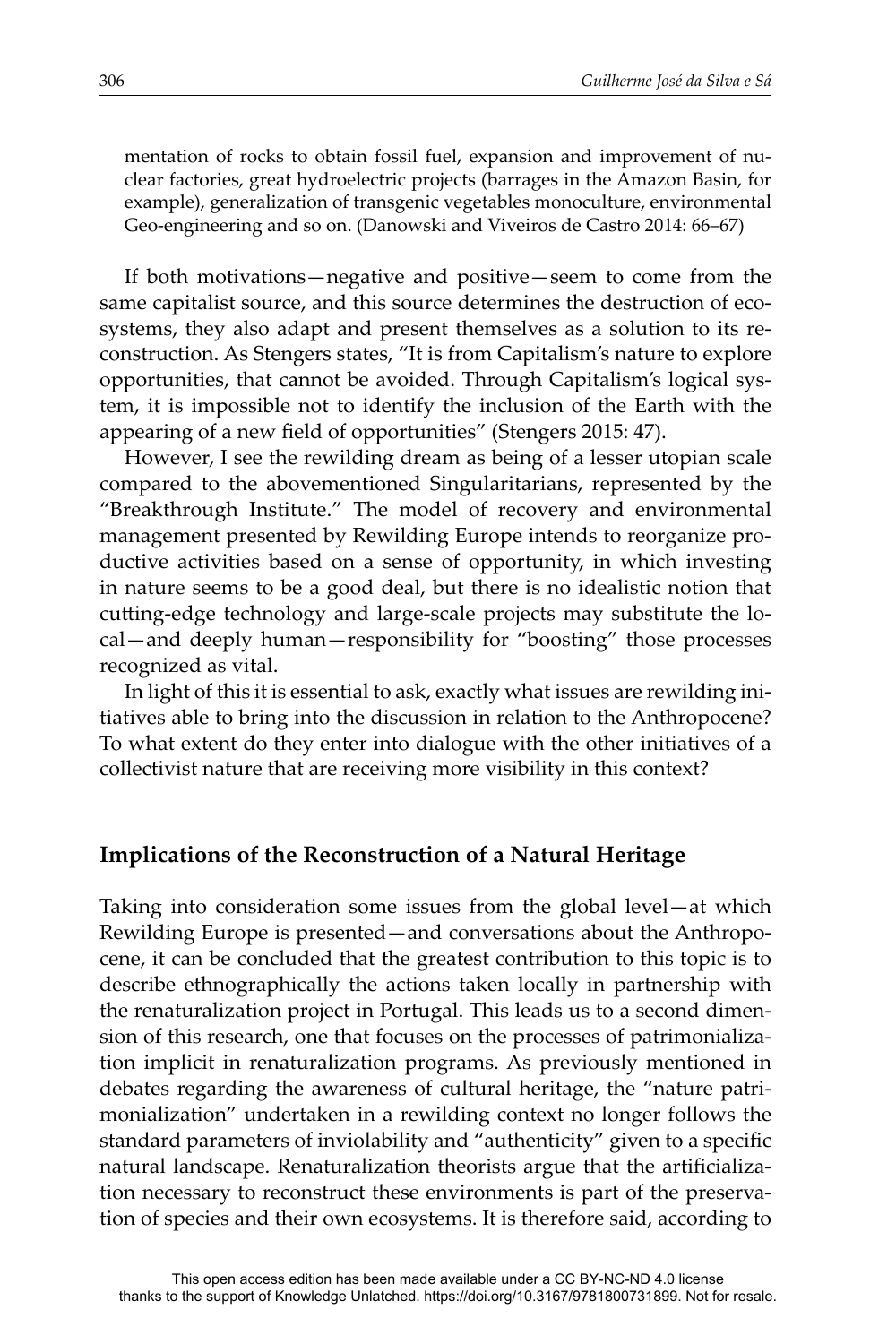mentation of rocks to obtain fossil fuel, expansion and improvement of nuclear factories, great hydroelectric projects (barrages in the Amazon Basin, for example), generalization of transgenic vegetables monoculture, environmental Geo-engineering and so on. (Danowski and Viveiros de Castro 2014: 66–67)

If both motivations—negative and positive—seem to come from the same capitalist source, and this source determines the destruction of ecosystems, they also adapt and present themselves as a solution to its reconstruction. As Stengers states, "It is from Capitalism's nature to explore opportunities, that cannot be avoided. Through Capitalism's logical system, it is impossible not to identify the inclusion of the Earth with the appearing of a new field of opportunities" (Stengers 2015: 47).

However, I see the rewilding dream as being of a lesser utopian scale compared to the abovementioned Singularitarians, represented by the "Breakthrough Institute." The model of recovery and environmental management presented by Rewilding Europe intends to reorganize productive activities based on a sense of opportunity, in which investing in nature seems to be a good deal, but there is no idealistic notion that cutting-edge technology and large-scale projects may substitute the local—and deeply human—responsibility for "boosting" those processes recognized as vital.

In light of this it is essential to ask, exactly what issues are rewilding initiatives able to bring into the discussion in relation to the Anthropocene? To what extent do they enter into dialogue with the other initiatives of a collectivist nature that are receiving more visibility in this context?

# **Implications of the Reconstruction of a Natural Heritage**

Taking into consideration some issues from the global level—at which Rewilding Europe is presented—and conversations about the Anthropocene, it can be concluded that the greatest contribution to this topic is to describe ethnographically the actions taken locally in partnership with the renaturalization project in Portugal. This leads us to a second dimension of this research, one that focuses on the processes of patrimonialization implicit in renaturalization programs. As previously mentioned in debates regarding the awareness of cultural heritage, the "nature patrimonialization" undertaken in a rewilding context no longer follows the standard parameters of inviolability and "authenticity" given to a specific natural landscape. Renaturalization theorists argue that the artificialization necessary to reconstruct these environments is part of the preservation of species and their own ecosystems. It is therefore said, according to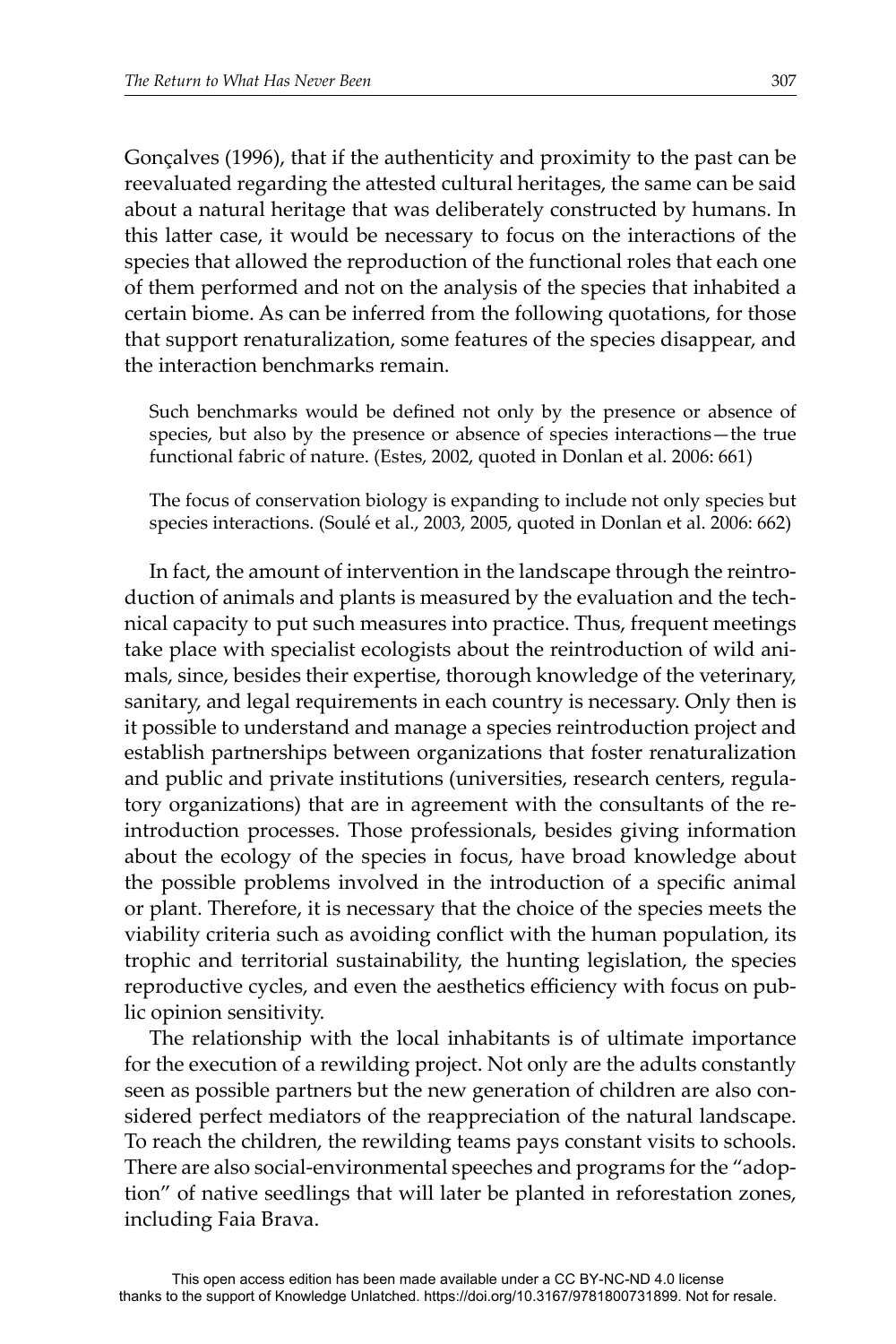Gonçalves (1996), that if the authenticity and proximity to the past can be reevaluated regarding the attested cultural heritages, the same can be said about a natural heritage that was deliberately constructed by humans. In this latter case, it would be necessary to focus on the interactions of the species that allowed the reproduction of the functional roles that each one of them performed and not on the analysis of the species that inhabited a certain biome. As can be inferred from the following quotations, for those that support renaturalization, some features of the species disappear, and the interaction benchmarks remain.

Such benchmarks would be defined not only by the presence or absence of species, but also by the presence or absence of species interactions—the true functional fabric of nature. (Estes, 2002, quoted in Donlan et al. 2006: 661)

The focus of conservation biology is expanding to include not only species but species interactions. (Soulé et al., 2003, 2005, quoted in Donlan et al. 2006: 662)

In fact, the amount of intervention in the landscape through the reintroduction of animals and plants is measured by the evaluation and the technical capacity to put such measures into practice. Thus, frequent meetings take place with specialist ecologists about the reintroduction of wild animals, since, besides their expertise, thorough knowledge of the veterinary, sanitary, and legal requirements in each country is necessary. Only then is it possible to understand and manage a species reintroduction project and establish partnerships between organizations that foster renaturalization and public and private institutions (universities, research centers, regulatory organizations) that are in agreement with the consultants of the reintroduction processes. Those professionals, besides giving information about the ecology of the species in focus, have broad knowledge about the possible problems involved in the introduction of a specific animal or plant. Therefore, it is necessary that the choice of the species meets the viability criteria such as avoiding conflict with the human population, its trophic and territorial sustainability, the hunting legislation, the species reproductive cycles, and even the aesthetics efficiency with focus on public opinion sensitivity.

The relationship with the local inhabitants is of ultimate importance for the execution of a rewilding project. Not only are the adults constantly seen as possible partners but the new generation of children are also considered perfect mediators of the reappreciation of the natural landscape. To reach the children, the rewilding teams pays constant visits to schools. There are also social-environmental speeches and programs for the "adoption" of native seedlings that will later be planted in reforestation zones, including Faia Brava.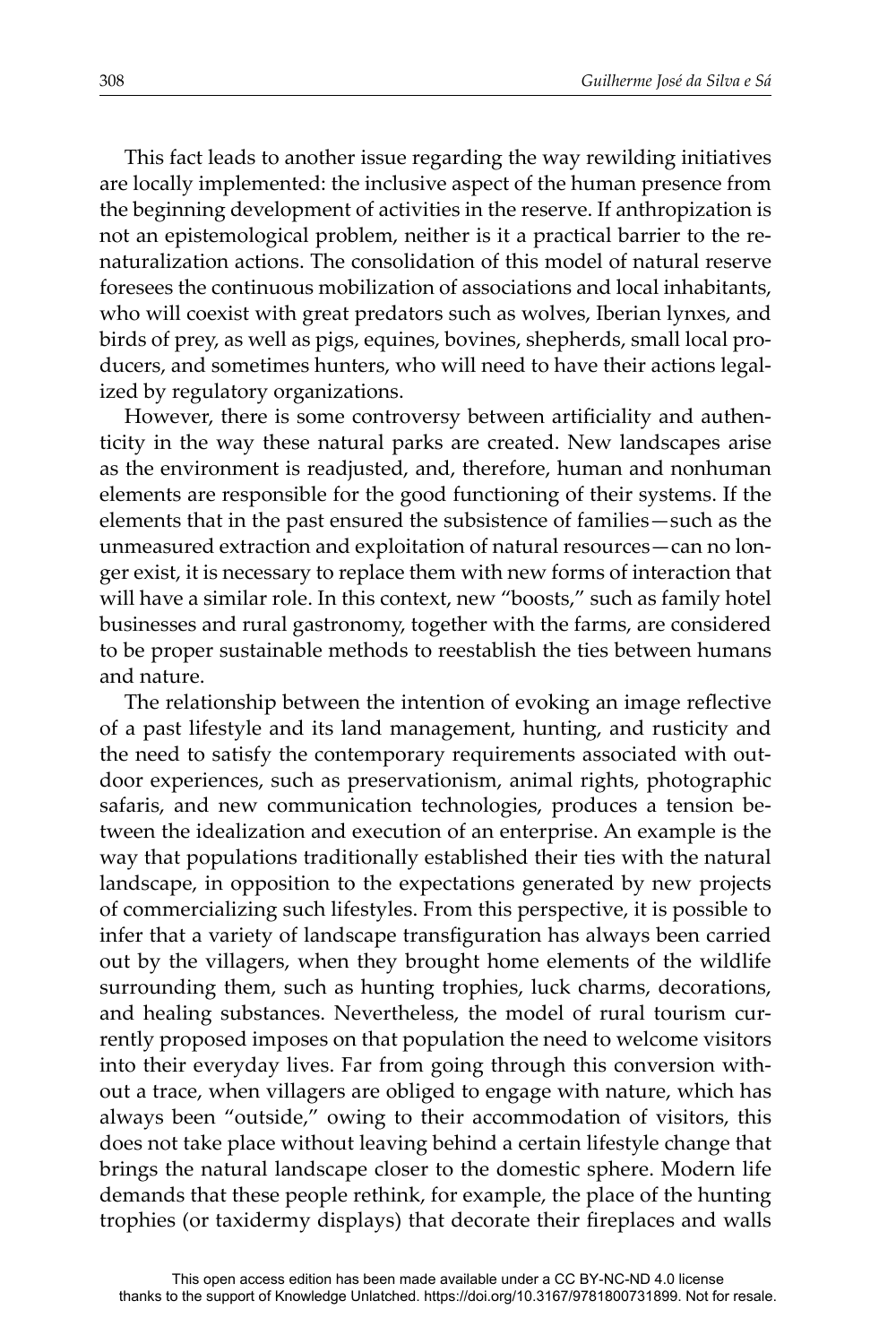This fact leads to another issue regarding the way rewilding initiatives are locally implemented: the inclusive aspect of the human presence from the beginning development of activities in the reserve. If anthropization is not an epistemological problem, neither is it a practical barrier to the renaturalization actions. The consolidation of this model of natural reserve foresees the continuous mobilization of associations and local inhabitants, who will coexist with great predators such as wolves, Iberian lynxes, and birds of prey, as well as pigs, equines, bovines, shepherds, small local producers, and sometimes hunters, who will need to have their actions legalized by regulatory organizations.

However, there is some controversy between artificiality and authenticity in the way these natural parks are created. New landscapes arise as the environment is readjusted, and, therefore, human and nonhuman elements are responsible for the good functioning of their systems. If the elements that in the past ensured the subsistence of families—such as the unmeasured extraction and exploitation of natural resources—can no longer exist, it is necessary to replace them with new forms of interaction that will have a similar role. In this context, new "boosts," such as family hotel businesses and rural gastronomy, together with the farms, are considered to be proper sustainable methods to reestablish the ties between humans and nature.

The relationship between the intention of evoking an image reflective of a past lifestyle and its land management, hunting, and rusticity and the need to satisfy the contemporary requirements associated with outdoor experiences, such as preservationism, animal rights, photographic safaris, and new communication technologies, produces a tension between the idealization and execution of an enterprise. An example is the way that populations traditionally established their ties with the natural landscape, in opposition to the expectations generated by new projects of commercializing such lifestyles. From this perspective, it is possible to infer that a variety of landscape transfiguration has always been carried out by the villagers, when they brought home elements of the wildlife surrounding them, such as hunting trophies, luck charms, decorations, and healing substances. Nevertheless, the model of rural tourism currently proposed imposes on that population the need to welcome visitors into their everyday lives. Far from going through this conversion without a trace, when villagers are obliged to engage with nature, which has always been "outside," owing to their accommodation of visitors, this does not take place without leaving behind a certain lifestyle change that brings the natural landscape closer to the domestic sphere. Modern life demands that these people rethink, for example, the place of the hunting trophies (or taxidermy displays) that decorate their fireplaces and walls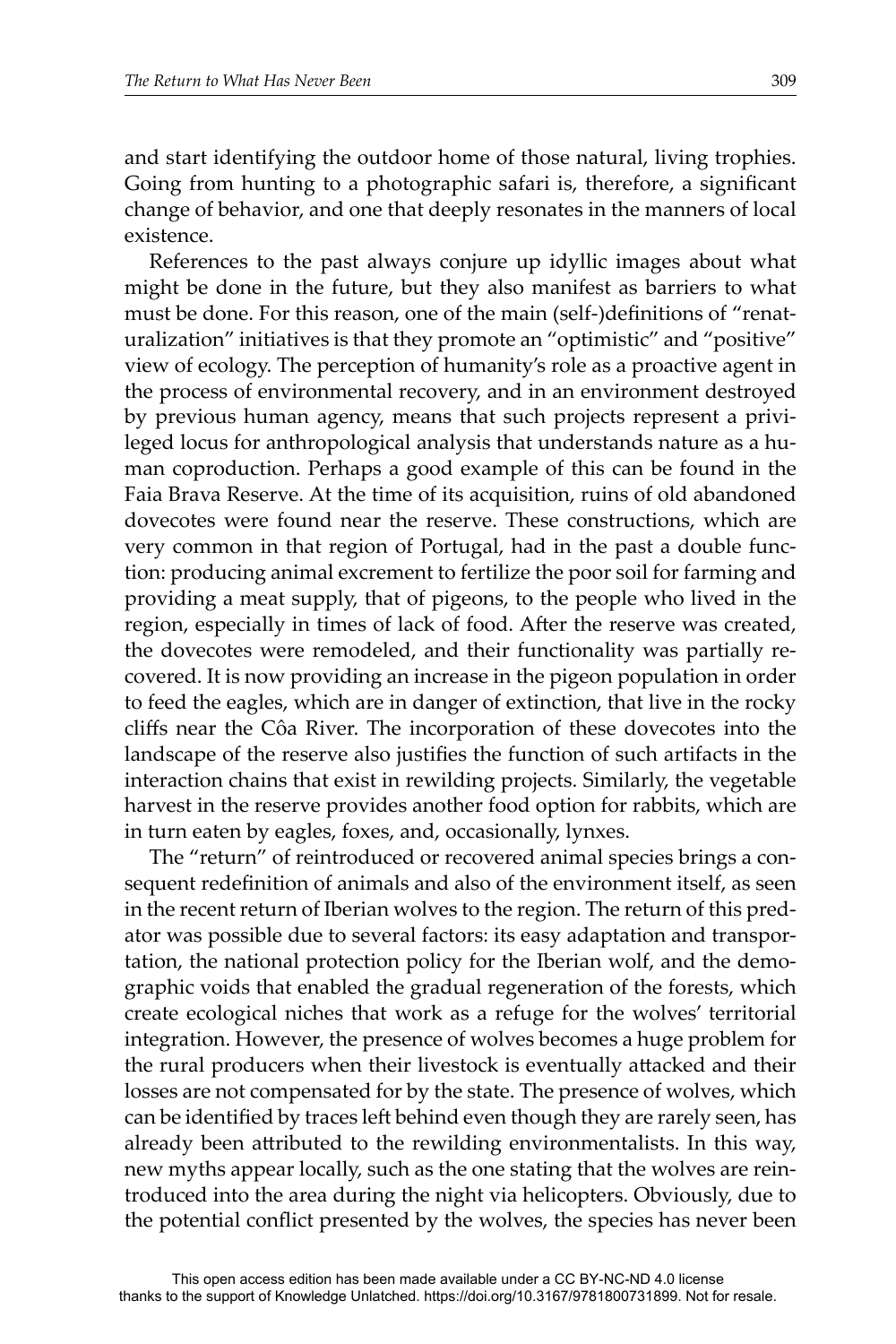and start identifying the outdoor home of those natural, living trophies. Going from hunting to a photographic safari is, therefore, a significant change of behavior, and one that deeply resonates in the manners of local existence.

References to the past always conjure up idyllic images about what might be done in the future, but they also manifest as barriers to what must be done. For this reason, one of the main (self-)definitions of "renaturalization" initiatives is that they promote an "optimistic" and "positive" view of ecology. The perception of humanity's role as a proactive agent in the process of environmental recovery, and in an environment destroyed by previous human agency, means that such projects represent a privileged locus for anthropological analysis that understands nature as a human coproduction. Perhaps a good example of this can be found in the Faia Brava Reserve. At the time of its acquisition, ruins of old abandoned dovecotes were found near the reserve. These constructions, which are very common in that region of Portugal, had in the past a double function: producing animal excrement to fertilize the poor soil for farming and providing a meat supply, that of pigeons, to the people who lived in the region, especially in times of lack of food. After the reserve was created, the dovecotes were remodeled, and their functionality was partially recovered. It is now providing an increase in the pigeon population in order to feed the eagles, which are in danger of extinction, that live in the rocky cliffs near the Côa River. The incorporation of these dovecotes into the landscape of the reserve also justifies the function of such artifacts in the interaction chains that exist in rewilding projects. Similarly, the vegetable harvest in the reserve provides another food option for rabbits, which are in turn eaten by eagles, foxes, and, occasionally, lynxes.

The "return" of reintroduced or recovered animal species brings a consequent redefinition of animals and also of the environment itself, as seen in the recent return of Iberian wolves to the region. The return of this predator was possible due to several factors: its easy adaptation and transportation, the national protection policy for the Iberian wolf, and the demographic voids that enabled the gradual regeneration of the forests, which create ecological niches that work as a refuge for the wolves' territorial integration. However, the presence of wolves becomes a huge problem for the rural producers when their livestock is eventually attacked and their losses are not compensated for by the state. The presence of wolves, which can be identified by traces left behind even though they are rarely seen, has already been attributed to the rewilding environmentalists. In this way, new myths appear locally, such as the one stating that the wolves are reintroduced into the area during the night via helicopters. Obviously, due to the potential conflict presented by the wolves, the species has never been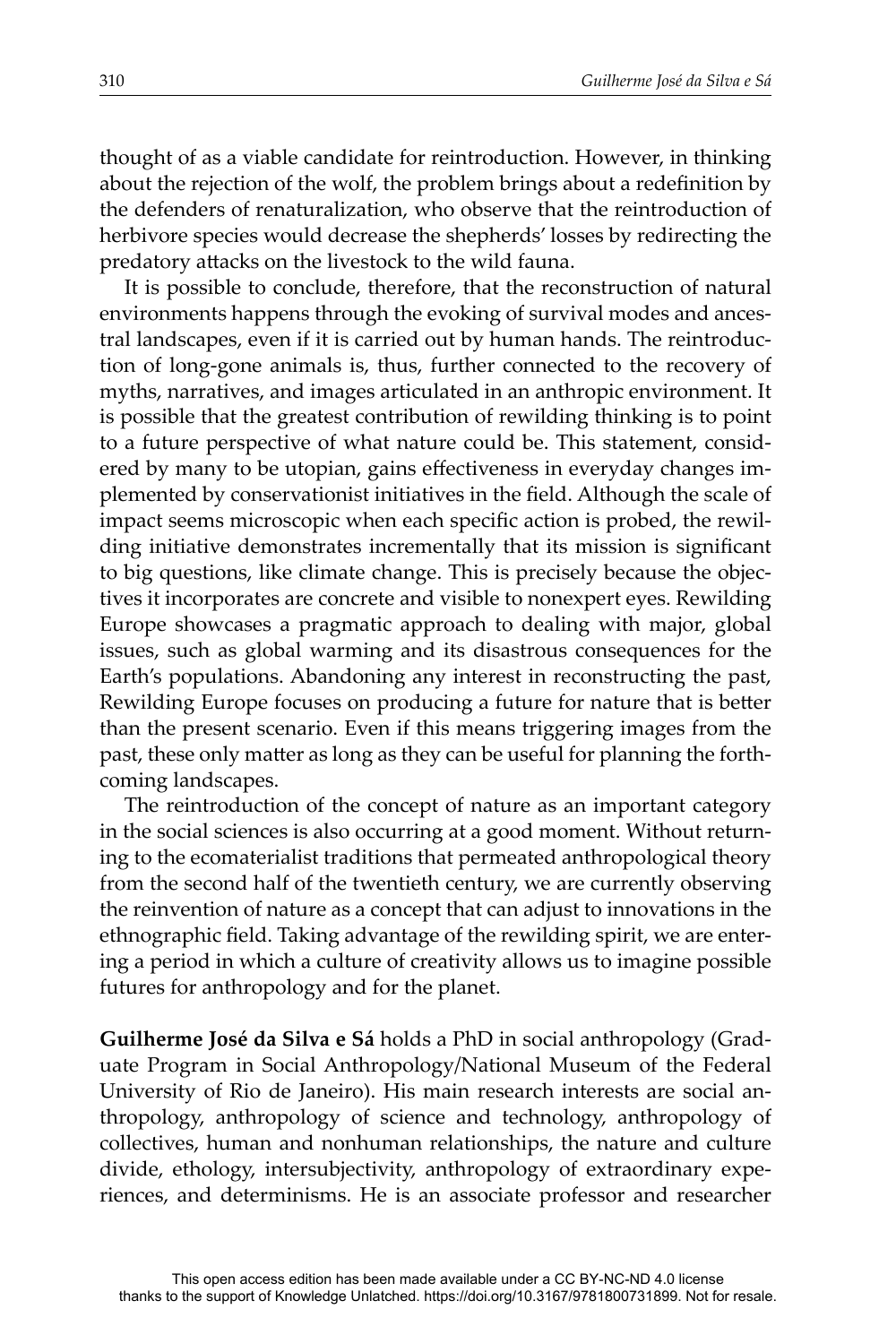thought of as a viable candidate for reintroduction. However, in thinking about the rejection of the wolf, the problem brings about a redefinition by the defenders of renaturalization, who observe that the reintroduction of herbivore species would decrease the shepherds' losses by redirecting the predatory attacks on the livestock to the wild fauna.

It is possible to conclude, therefore, that the reconstruction of natural environments happens through the evoking of survival modes and ancestral landscapes, even if it is carried out by human hands. The reintroduction of long-gone animals is, thus, further connected to the recovery of myths, narratives, and images articulated in an anthropic environment. It is possible that the greatest contribution of rewilding thinking is to point to a future perspective of what nature could be. This statement, considered by many to be utopian, gains effectiveness in everyday changes implemented by conservationist initiatives in the field. Although the scale of impact seems microscopic when each specific action is probed, the rewilding initiative demonstrates incrementally that its mission is significant to big questions, like climate change. This is precisely because the objectives it incorporates are concrete and visible to nonexpert eyes. Rewilding Europe showcases a pragmatic approach to dealing with major, global issues, such as global warming and its disastrous consequences for the Earth's populations. Abandoning any interest in reconstructing the past, Rewilding Europe focuses on producing a future for nature that is better than the present scenario. Even if this means triggering images from the past, these only matter as long as they can be useful for planning the forthcoming landscapes.

The reintroduction of the concept of nature as an important category in the social sciences is also occurring at a good moment. Without returning to the ecomaterialist traditions that permeated anthropological theory from the second half of the twentieth century, we are currently observing the reinvention of nature as a concept that can adjust to innovations in the ethnographic field. Taking advantage of the rewilding spirit, we are entering a period in which a culture of creativity allows us to imagine possible futures for anthropology and for the planet.

**Guilherme José da Silva e Sá** holds a PhD in social anthropology (Graduate Program in Social Anthropology/National Museum of the Federal University of Rio de Janeiro). His main research interests are social anthropology, anthropology of science and technology, anthropology of collectives, human and nonhuman relationships, the nature and culture divide, ethology, intersubjectivity, anthropology of extraordinary experiences, and determinisms. He is an associate professor and researcher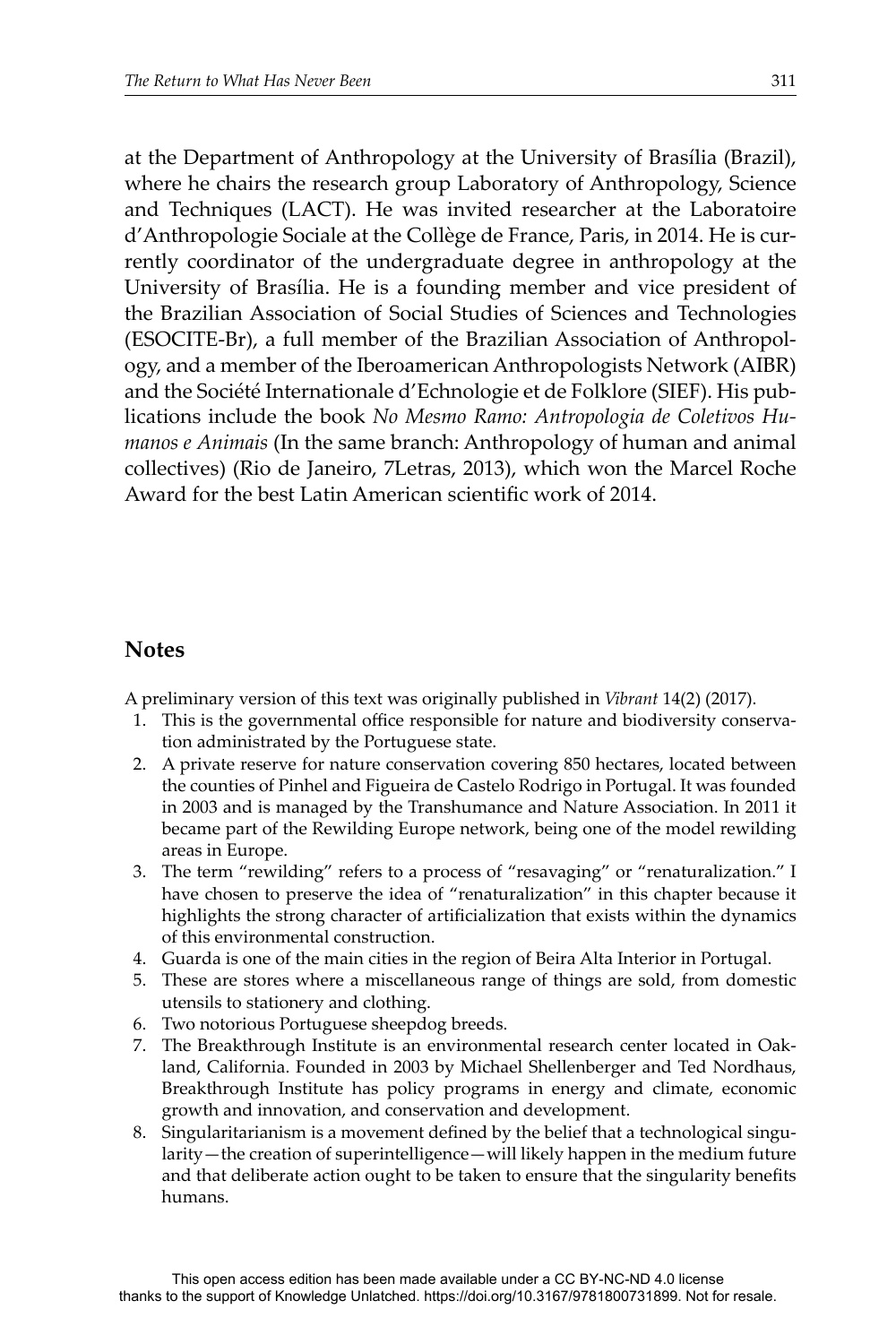at the Department of Anthropology at the University of Brasília (Brazil), where he chairs the research group Laboratory of Anthropology, Science and Techniques (LACT). He was invited researcher at the Laboratoire d'Anthropologie Sociale at the Collège de France, Paris, in 2014. He is currently coordinator of the undergraduate degree in anthropology at the University of Brasília. He is a founding member and vice president of the Brazilian Association of Social Studies of Sciences and Technologies (ESOCITE-Br), a full member of the Brazilian Association of Anthropology, and a member of the Iberoamerican Anthropologists Network (AIBR) and the Société Internationale d'Echnologie et de Folklore (SIEF). His publications include the book *No Mesmo Ramo: Antropologia de Coletivos Humanos e Animais* (In the same branch: Anthropology of human and animal collectives) (Rio de Janeiro, 7Letras, 2013), which won the Marcel Roche Award for the best Latin American scientific work of 2014

# **Notes**

A preliminary version of this text was originally published in *Vibrant* 14(2) (2017).

- 1. This is the governmental office responsible for nature and biodiversity conservation administrated by the Portuguese state.
- 2. A private reserve for nature conservation covering 850 hectares, located between the counties of Pinhel and Figueira de Castelo Rodrigo in Portugal. It was founded in 2003 and is managed by the Transhumance and Nature Association. In 2011 it became part of the Rewilding Europe network, being one of the model rewilding areas in Europe.
- 3. The term "rewilding" refers to a process of "resavaging" or "renaturalization." I have chosen to preserve the idea of "renaturalization" in this chapter because it highlights the strong character of artificialization that exists within the dynamics of this environmental construction.
- 4. Guarda is one of the main cities in the region of Beira Alta Interior in Portugal.
- 5. These are stores where a miscellaneous range of things are sold, from domestic utensils to stationery and clothing.
- 6. Two notorious Portuguese sheepdog breeds.
- 7. The Breakthrough Institute is an environmental research center located in Oakland, California. Founded in 2003 by Michael Shellenberger and Ted Nordhaus, Breakthrough Institute has policy programs in energy and climate, economic growth and innovation, and conservation and development.
- 8. Singularitarianism is a movement defined by the belief that a technological singularity—the creation of superintelligence—will likely happen in the medium future and that deliberate action ought to be taken to ensure that the singularity benefits humans.